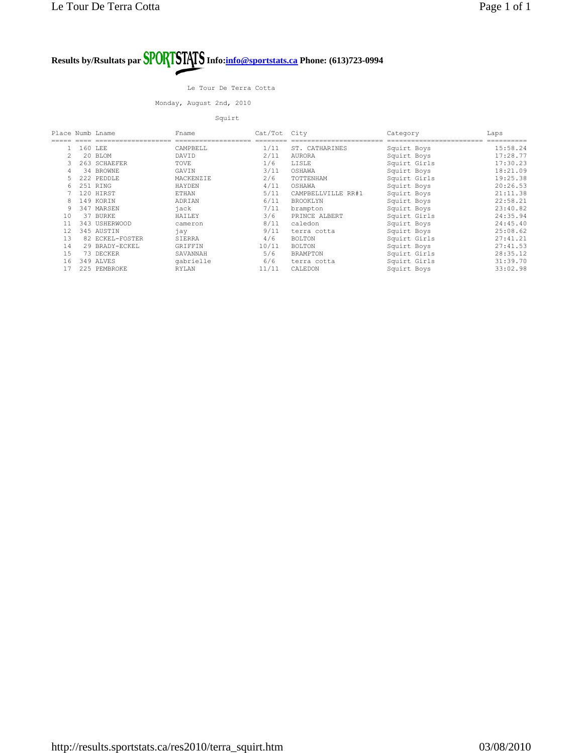#### Le Tour De Terra Cotta

Monday, August 2nd, 2010

Squirt

| Place Numb Lname |     |                 | Fname        | Cat/Tot | City               | Category     | Laps     |
|------------------|-----|-----------------|--------------|---------|--------------------|--------------|----------|
|                  |     |                 |              |         |                    |              |          |
|                  |     | 160 LEE         | CAMPBELL     | 1/11    | ST. CATHARINES     | Squirt Boys  | 15:58.24 |
|                  |     | 20 BLOM         | DAVID        | 2/11    | <b>AURORA</b>      | Squirt Boys  | 17:28.77 |
|                  |     | 263 SCHAEFER    | TOVE         | 1/6     | LISLE              | Squirt Girls | 17:30.23 |
| 4                |     | 34 BROWNE       | GAVIN        | 3/11    | OSHAWA             | Squirt Boys  | 18:21.09 |
|                  |     | 222 PEDDLE      | MACKENZIE    | 2/6     | TOTTENHAM          | Squirt Girls | 19:25.38 |
| 6                |     | 251 RING        | HAYDEN       | 4/11    | OSHAWA             | Squirt Boys  | 20:26.53 |
|                  |     | 120 HIRST       | <b>ETHAN</b> | 5/11    | CAMPBELLVILLE RR#1 | Squirt Boys  | 21:11.38 |
| 8                |     | 149 KORIN       | ADRIAN       | 6/11    | <b>BROOKLYN</b>    | Squirt Boys  | 22:58.21 |
| 9                |     | 347 MARSEN      | jack         | 7/11    | brampton           | Squirt Boys  | 23:40.82 |
| 10               | 37  | BURKE           | HAILEY       | 3/6     | PRINCE ALBERT      | Squirt Girls | 24:35.94 |
| 11               |     | 343 USHERWOOD   | cameron      | 8/11    | caledon            | Squirt Boys  | 24:45.40 |
| 12               |     | 345 AUSTIN      | jay          | 9/11    | terra cotta        | Squirt Boys  | 25:08.62 |
| 13               |     | 82 ECKEL-FOSTER | SIERRA       | 4/6     | <b>BOLTON</b>      | Squirt Girls | 27:41.21 |
| 14               |     | 29 BRADY-ECKEL  | GRIFFIN      | 10/11   | <b>BOLTON</b>      | Squirt Boys  | 27:41.53 |
| 15               |     | 73 DECKER       | SAVANNAH     | 5/6     | <b>BRAMPTON</b>    | Squirt Girls | 28:35.12 |
| 16               |     | 349 ALVES       | qabrielle    | 6/6     | terra cotta        | Squirt Girls | 31:39.70 |
| 17               | 225 | PEMBROKE        | RYLAN        | 11/11   | CALEDON            | Squirt Boys  | 33:02.98 |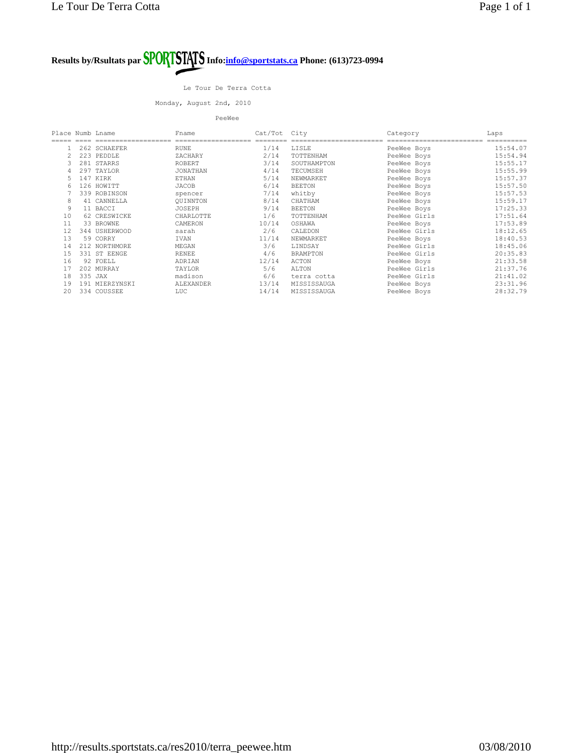Le Tour De Terra Cotta

Monday, August 2nd, 2010

PeeWee

| Place Numb Lname |         |                | Fname           | Cat/Tot | City            | Category     | Laps     |
|------------------|---------|----------------|-----------------|---------|-----------------|--------------|----------|
|                  |         |                |                 |         |                 |              |          |
|                  |         | 262 SCHAEFER   | <b>RUNE</b>     | 1/14    | LISLE           | PeeWee Boys  | 15:54.07 |
| $\overline{2}$   |         | 223 PEDDLE     | ZACHARY         | 2/14    | TOTTENHAM       | PeeWee Boys  | 15:54.94 |
| 3                |         | 281 STARRS     | ROBERT          | 3/14    | SOUTHAMPTON     | PeeWee Boys  | 15:55.17 |
| 4                |         | 297 TAYLOR     | <b>JONATHAN</b> | 4/14    | TECUMSEH        | PeeWee Boys  | 15:55.99 |
| 5.               |         | 147 KIRK       | ETHAN           | 5/14    | NEWMARKET       | PeeWee Boys  | 15:57.37 |
| 6                |         | 126 HOWITT     | JACOB           | 6/14    | <b>BEETON</b>   | PeeWee Boys  | 15:57.50 |
|                  |         | 339 ROBINSON   | spencer         | 7/14    | whitby          | PeeWee Boys  | 15:57.53 |
| 8                |         | 41 CANNELLA    | OUINNTON        | 8/14    | CHATHAM         | PeeWee Boys  | 15:59.17 |
| 9                |         | 11 BACCI       | JOSEPH          | 9/14    | <b>BEETON</b>   | PeeWee Boys  | 17:25.33 |
| 10               |         | 62 CRESWICKE   | CHARLOTTE       | 1/6     | TOTTENHAM       | PeeWee Girls | 17:51.64 |
| 11               |         | 33 BROWNE      | CAMERON         | 10/14   | OSHAWA          | PeeWee Boys  | 17:53.89 |
| 12               |         | 344 USHERWOOD  | sarah           | 2/6     | CALEDON         | PeeWee Girls | 18:12.65 |
| 13               |         | 59 CORRY       | IVAN            | 11/14   | NEWMARKET       | PeeWee Boys  | 18:40.53 |
| 14               |         | 212 NORTHMORE  | MEGAN           | 3/6     | LINDSAY         | PeeWee Girls | 18:45.06 |
| 15               |         | 331 ST EENGE   | <b>RENEE</b>    | 4/6     | <b>BRAMPTON</b> | PeeWee Girls | 20:35.83 |
| 16               |         | 92 FOELL       | ADRIAN          | 12/14   | ACTON           | PeeWee Boys  | 21:33.58 |
| 17               |         | 202 MURRAY     | TAYLOR          | 5/6     | ALTON           | PeeWee Girls | 21:37.76 |
| 18               | 335 JAX |                | madison         | 6/6     | terra cotta     | PeeWee Girls | 21:41.02 |
| 19               |         | 191 MIERZYNSKI | ALEXANDER       | 13/14   | MISSISSAUGA     | PeeWee Boys  | 23:31.96 |
| 20               |         | 334 COUSSEE    | LUC             | 14/14   | MISSISSAUGA     | PeeWee Boys  | 28:32.79 |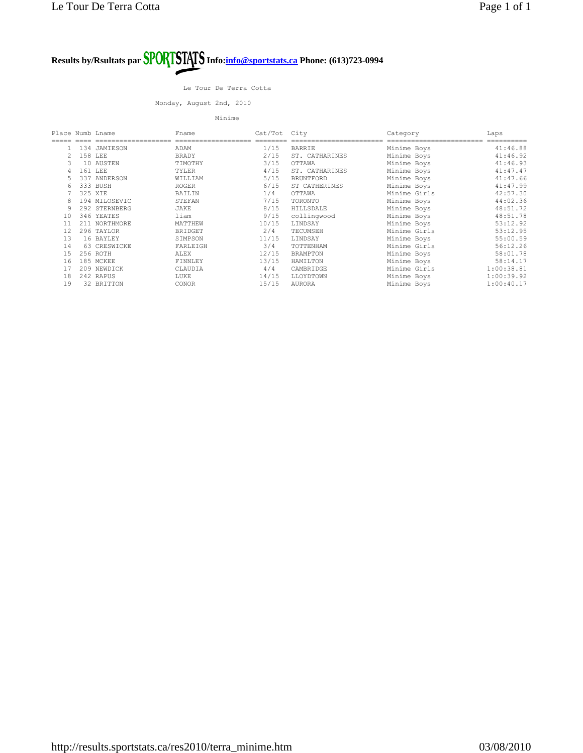Le Tour De Terra Cotta

Monday, August 2nd, 2010

Minime

| Place Numb Lname |         |               | Fname          | Cat/Tot City |                  | Category     | Laps       |
|------------------|---------|---------------|----------------|--------------|------------------|--------------|------------|
|                  |         |               |                |              |                  |              |            |
|                  |         | 134 JAMIESON  | ADAM           | 1/15         | <b>BARRIE</b>    | Minime Boys  | 41:46.88   |
| 2.               |         | 158 LEE       | <b>BRADY</b>   | 2/15         | ST. CATHARINES   | Minime Boys  | 41:46.92   |
| 3                |         | 10 AUSTEN     | TIMOTHY        | 3/15         | OTTAWA           | Minime Boys  | 41:46.93   |
|                  | 161 LEE |               | TYLER          | 4/15         | ST. CATHARINES   | Minime Boys  | 41:47.47   |
| 5.               |         | 337 ANDERSON  | WILLIAM        | 5/15         | <b>BRUNTFORD</b> | Minime Boys  | 41:47.66   |
| 6                |         | 333 BUSH      | <b>ROGER</b>   | 6/15         | ST CATHERINES    | Minime Boys  | 41:47.99   |
|                  | 325 XIE |               | BAILIN         | 1/4          | OTTAWA           | Minime Girls | 42:57.30   |
|                  |         | 194 MILOSEVIC | STEFAN         | 7/15         | TORONTO          | Minime Boys  | 44:02.36   |
|                  |         | 292 STERNBERG | JAKE           | 8/15         | <b>HILLSDALE</b> | Minime Boys  | 48:51.72   |
| 10               |         | 346 YEATES    | liam           | 9/15         | collingwood      | Minime Boys  | 48:51.78   |
| 11               |         | 211 NORTHMORE | MATTHEW        | 10/15        | LINDSAY          | Minime Boys  | 53:12.92   |
| 12               |         | 296 TAYLOR    | <b>BRIDGET</b> | 2/4          | TECUMSEH         | Minime Girls | 53:12.95   |
| 13               |         | 16 BAYLEY     | SIMPSON        | 11/15        | LINDSAY          | Minime Boys  | 55:00.59   |
| 14               |         | 63 CRESWICKE  | FARLEIGH       | 3/4          | TOTTENHAM        | Minime Girls | 56:12.26   |
| 15               |         | 256 ROTH      | ALEX           | 12/15        | <b>BRAMPTON</b>  | Minime Boys  | 58:01.78   |
| 16               |         | 185 MCKEE     | FINNLEY        | 13/15        | HAMILTON         | Minime Boys  | 58:14.17   |
| 17               |         | 209 NEWDICK   | CLAUDIA        | 4/4          | CAMBRIDGE        | Minime Girls | 1:00:38.81 |
| 18               |         | 242 RAPUS     | LUKE           | 14/15        | LLOYDTOWN        | Minime Boys  | 1:00:39.92 |
| 19               |         | 32 BRITTON    | CONOR          | 15/15        | <b>AURORA</b>    | Minime Boys  | 1:00:40.17 |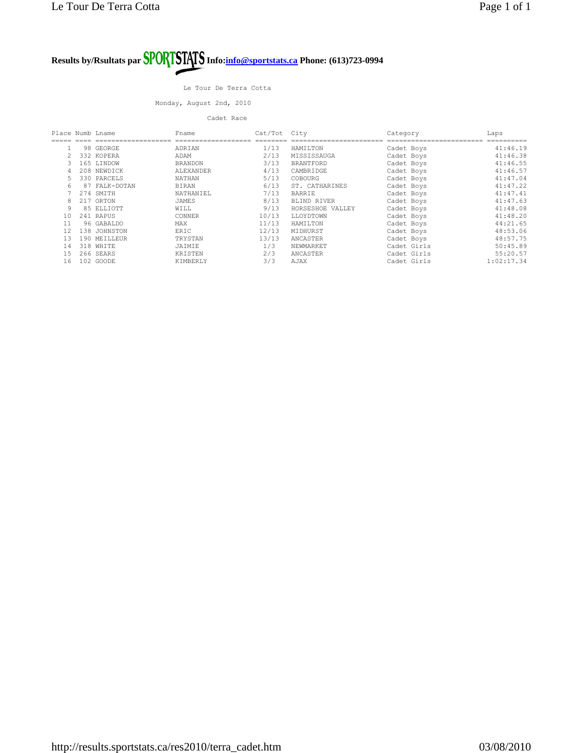#### Le Tour De Terra Cotta

Monday, August 2nd, 2010

#### Cadet Race

| Place Numb Lname |     |              | Fname          | Cat/Tot | City             | Category    | Laps       |
|------------------|-----|--------------|----------------|---------|------------------|-------------|------------|
|                  |     |              |                |         |                  |             |            |
|                  |     | 98 GEORGE    | ADRIAN         | 1/13    | HAMILTON         | Cadet Boys  | 41:46.19   |
|                  |     | 332 KOPERA   | ADAM           | 2/13    | MISSISSAUGA      | Cadet Boys  | 41:46.38   |
|                  |     | 165 LINDOW   | <b>BRANDON</b> | 3/13    | <b>BRANTFORD</b> | Cadet Boys  | 41:46.55   |
|                  |     | 208 NEWDICK  | ALEXANDER      | 4/13    | CAMBRIDGE        | Cadet Boys  | 41:46.57   |
|                  |     | 330 PARCELS  | <b>NATHAN</b>  | 5/13    | COBOURG          | Cadet Boys  | 41:47.04   |
| 6                | 87  | FALK-DOTAN   | <b>BIRAN</b>   | 6/13    | ST. CATHARINES   | Cadet Boys  | 41:47.22   |
|                  | 274 | SMITH        | NATHANIEL      | 7/13    | <b>BARRIE</b>    | Cadet Boys  | 41:47.41   |
|                  | 217 | ORTON        | JAMES          | 8/13    | BLIND RIVER      | Cadet Boys  | 41:47.63   |
| 9                |     | 85 ELLIOTT   | WILL           | 9/13    | HORSESHOE VALLEY | Cadet Boys  | 41:48.08   |
| 10               |     | 241 RAPUS    | CONNER         | 10/13   | LLOYDTOWN        | Cadet Boys  | 41:48.20   |
| 11               |     | 96 GABALDO   | MAX            | 11/13   | HAMILTON         | Cadet Boys  | 44:21.65   |
| 12               |     | 138 JOHNSTON | ERIC           | 12/13   | MIDHURST         | Cadet Boys  | 48:53.06   |
| 13               |     | 190 MEILLEUR | TRYSTAN        | 13/13   | ANCASTER         | Cadet Boys  | 48:57.75   |
| 14               |     | 318 WHITE    | JAIMIE         | 1/3     | NEWMARKET        | Cadet Girls | 50:45.89   |
| 15               |     | 266 SEARS    | KRISTEN        | 2/3     | ANCASTER         | Cadet Girls | 55:20.57   |
| 16               |     | 102 GOODE    | KIMBERLY       | 3/3     | AJAX             | Cadet Girls | 1:02:17.34 |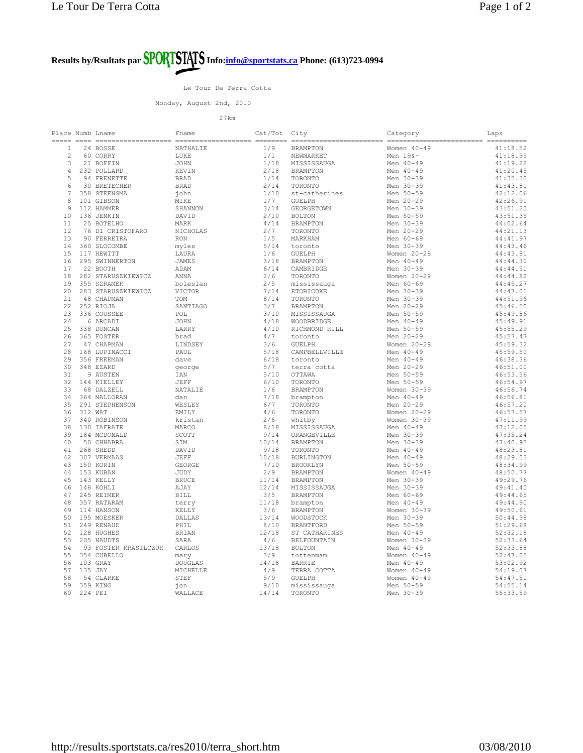Le Tour De Terra Cotta

Monday, August 2nd, 2010

| Place Numb Lname |          |                             | Fname          | Cat/Tot City |                   | Category        | Laps     |
|------------------|----------|-----------------------------|----------------|--------------|-------------------|-----------------|----------|
|                  |          |                             |                |              |                   |                 |          |
| $\mathbf{1}$     |          | 24 BOSSE                    | NATHALIE       | 1/9          | <b>BRAMPTON</b>   | Women 40-49     | 41:18.52 |
| $\overline{2}$   |          | 60 CORRY                    | LUKE           | 1/1          | NEWMARKET         | Men $19&-$      | 41:18.95 |
| 3                |          | 21 BOFFIN                   | JOHN           | 1/18         | MISSISSAUGA       | Men 40-49       | 41:19.22 |
| $\overline{4}$   |          | 232 POLLARD                 | KEVIN          | 2/18         | <b>BRAMPTON</b>   | Men 40-49       | 41:20.45 |
| 5                |          | 94 FRENETTE                 | BRAD           | 1/14         | TORONTO           | Men 30-39       | 41:35.30 |
|                  |          |                             |                |              |                   |                 |          |
| 6                |          | 30 BRETECHER                | <b>BRAD</b>    | 2/14         | TORONTO           | Men 30-39       | 41:43.81 |
| $7\phantom{.0}$  |          | 358 STEENSMA                | john           | 1/10         | st-catherines     | Men 50-59       | 42:12.06 |
| 8                |          | 101 GIBSON                  | MIKE           | 1/7          | <b>GUELPH</b>     | Men 20-29       | 42:26.91 |
| 9                |          | 112 HAMMER                  | SHANNON        | 3/14         | GEORGETOWN        | Men 30-39       | 43:51.20 |
| 10               |          | 136 JENKIN                  | DAVID          | 2/10         | <b>BOLTON</b>     | Men 50-59       | 43:51.35 |
| 11               |          | 25 BOTELHO                  | MARK           | 4/14         | <b>BRAMPTON</b>   | Men 30-39       | 44:02.64 |
| 12               |          | 76 DI CRISTOFARO            | NICHOLAS       | 2/7          | TORONTO           | Men 20-29       | 44:21.13 |
| 13               |          | 90 FERREIRA                 | <b>RON</b>     | 1/5          | MARKHAM           | Men 60-69       | 44:41.97 |
| 14               |          | 360 SLOCOMBE                |                | 5/14         |                   | Men 30-39       | 44:43.46 |
|                  |          |                             | myles          |              | toronto           |                 |          |
| 15               |          | 117 HEWITT                  | LAURA          | 1/6          | <b>GUELPH</b>     | Women 20-29     | 44:43.81 |
| 16               |          | 295 SWINNERTON              | <b>JAMES</b>   | 3/18         | <b>BRAMPTON</b>   | Men 40-49       | 44:44.30 |
| 17               |          | 22 BOOTH                    | ADAM           | 6/14         | CAMBRIDGE         | Men 30-39       | 44:44.51 |
| 18               |          | 282 STARUSZKIEWICZ          | ANNA           | 2/6          | TORONTO           | Women 20-29     | 44:44.82 |
| 19               |          | 355 SZRAMEK                 | boleslan       | 2/5          | mississauga       | Men 60-69       | 44:45.27 |
| 20               |          | 283 STARUSZKIEWICZ          | VICTOR         | 7/14         | ETOBICOKE         | Men 30-39       | 44:47.01 |
| 2.1              |          | 48 CHAPMAN                  | <b>TOM</b>     | 8/14         | TORONTO           | Men 30-39       | 44:51.96 |
| 22               |          | 252 RIOJA                   | SANTIAGO       | 3/7          | <b>BRAMPTON</b>   | Men 20-29       | 45:46.50 |
| 23               |          | 336 COUSSEE                 | POL            | 3/10         | MISSISSAUGA       | Men 50-59       | 45:49.86 |
| 24               |          |                             |                |              |                   |                 |          |
|                  |          | 6 ARCADI                    | JOHN           | 4/18         | WOODBRIDGE        | Men 40-49       | 45:49.91 |
| 25               |          | 338 DUNCAN                  | LARRY          | 4/10         | RICHMOND HILL     | Men 50-59       | 45:55.29 |
| 26               |          | 365 FOSTER                  | brad           | 4/7          | toronto           | Men 20-29       | 45:57.47 |
| 27               |          | 47 CHAPMAN                  | LINDSEY        | 3/6          | <b>GUELPH</b>     | Women 20-29     | 45:59.32 |
| 28               |          | 168 LUPINACCI               | PAUL           | 5/18         | CAMPBELLVILLE     | Men 40-49       | 45:59.50 |
| 29               |          | 356 FREEMAN                 | dave           | 6/18         | toronto           | Men 40-49       | 46:38.36 |
| 30               |          | 348 EZARD                   | george         | 5/7          | terra cotta       | Men 20-29       | 46:51.00 |
| 31               |          | 9 AUSTEN                    | IAN            | 5/10         | OTTAWA            | Men 50-59       | 46:53.56 |
| 32               |          | 144 KIELLEY                 | <b>JEFF</b>    | 6/10         | TORONTO           | Men 50-59       | 46:54.97 |
| 33               |          | 68 DALZELL                  | NATALIE        | 1/6          | <b>BRAMPTON</b>   | Women $30-39$   | 46:56.74 |
| 34               |          | 364 MALLORAN                | dan            | 7/18         | brampton          | Men 40-49       | 46:56.81 |
| 35               |          | 291 STEPHENSON              | WESLEY         | 6/7          | TORONTO           | Men 20-29       | 46:57.20 |
|                  |          |                             |                |              |                   |                 |          |
| 36               | 312 WAT  |                             | EMILY          | 4/6          | TORONTO           | Women 20-29     | 46:57.57 |
| 37               |          | 340 ROBINSON                | kristan        | 2/6          | whitby            | Women 30-39     | 47:11.99 |
| 38               |          | 130 IAFRATE                 | MARCO          | 8/18         | MISSISSAUGA       | Men 40-49       | 47:12.05 |
| 39               |          | 184 MCDONALD                | SCOTT          | 9/14         | ORANGEVILLE       | Men 30-39       | 47:35.24 |
| 40               |          | 50 CHHABRA                  | SIM            | 10/14        | <b>BRAMPTON</b>   | Men 30-39       | 47:40.95 |
| 41               |          | 268 SHEDD                   | DAVID          | 9/18         | TORONTO           | Men 40-49       | 48:23.81 |
| 42               |          | 307 VERMAAS                 | JEFF           | 10/18        | <b>BURLINGTON</b> | Men 40-49       | 48:29.03 |
| 43               |          | 150 KORIN                   | GEORGE         | 7/10         | <b>BROOKLYN</b>   | Men 50-59       | 48:34.99 |
| 44               |          | 153 KUBAN                   | JUDY           | 2/9          | <b>BRAMPTON</b>   | Women $40 - 49$ | 48:50.77 |
| 45               |          | 143 KELLY                   | <b>BRUCE</b>   | 11/14        | <b>BRAMPTON</b>   | Men 30-39       | 49:29.76 |
|                  |          |                             |                |              |                   |                 |          |
| 46               |          | 148 KOHLI                   | AJAY           | 12/14        | MISSISSAUGA       | Men 30-39       | 49:41.40 |
| 47               |          | 245 REIMER                  | <b>BILL</b>    | 3/5          | <b>BRAMPTON</b>   | Men 60-69       | 49:44.65 |
| 48               |          | 357 RATARAM                 | terry          | 11/18        | brampton          | Men 40-49       | 49:44.90 |
| 49               |          | 114 HANSON                  | KELLY          | 3/6          | <b>BRAMPTON</b>   | Women 30-39     | 49:50.61 |
| 50               |          | 195 MOESKER                 | DALLAS         | 13/14        | WOODSTOCK         | Men 30-39       | 50:44.98 |
| 51               |          | 249 RENAUD                  | PHIL           | 8/10         | <b>BRANTFORD</b>  | Men 50-59       | 51:29.68 |
| 52               |          | 128 HUGHES                  | BRIAN          | 12/18        | ST CATHARINES     | Men 40-49       | 52:32.18 |
| 53               |          | 205 NAUDTS                  | SARA           | 4/6          | BELFOUNTAIN       | Women 30-39     | 52:33.64 |
| 54               |          | 93 FOSTER KRASILCZUK CARLOS |                | 13/18        | <b>BOLTON</b>     | Men 40-49       | 52:33.88 |
| 55               |          | 354 CUBELLO                 |                | 3/9          | tottenmam         | Women $40 - 49$ | 52:47.05 |
| 56               | 103 GRAY |                             | mary           | 14/18        | <b>BARRIE</b>     | Men 40-49       |          |
|                  |          |                             | <b>DOUGLAS</b> |              |                   |                 | 53:02.92 |
| 57               | 135 JAY  |                             | MICHELLE       | 4/9          | TERRA COTTA       | Women $40 - 49$ | 54:19.07 |
| 58               |          | 54 CLARKE                   | STEF           | 5/9          | <b>GUELPH</b>     | Women 40-49     | 54:47.51 |
| 59               |          | 359 KING                    | ion            | 9/10         | mississauga       | Men 50-59       | 54:55.14 |
| 60               | 224 PEI  |                             | WALLACE        | 14/14        | TORONTO           | Men 30-39       | 55:33.59 |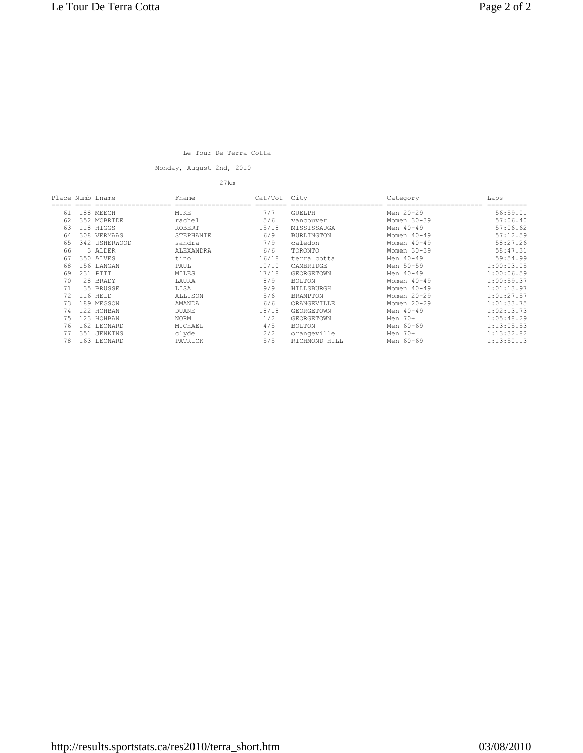### Le Tour De Terra Cotta

Monday, August 2nd, 2010

| Place Numb Lname |     |               | Fname        | Cat/Tot | City              | Category        | Laps       |
|------------------|-----|---------------|--------------|---------|-------------------|-----------------|------------|
|                  |     |               |              |         |                   |                 |            |
| 61               |     | 188 MEECH     | MIKE         | 7/7     | <b>GUELPH</b>     | Men 20-29       | 56:59.01   |
| 62               |     | 352 MCBRIDE   | rachel       | 5/6     | vancouver         | Women $30-39$   | 57:06.40   |
| 63               |     | 118 HIGGS     | ROBERT       | 15/18   | MISSISSAUGA       | Men 40-49       | 57:06.62   |
| 64               |     | 308 VERMAAS   | STEPHANIE    | 6/9     | <b>BURLINGTON</b> | Women $40 - 49$ | 57:12.59   |
| 65               |     | 342 USHERWOOD | sandra       | 7/9     | caledon           | Women $40 - 49$ | 58:27.26   |
| 66               |     | 3 ALDER       | ALEXANDRA    | 6/6     | TORONTO           | Women $30-39$   | 58:47.31   |
| 67               |     | 350 ALVES     | tino         | 16/18   | terra cotta       | Men 40-49       | 59:54.99   |
| 68               |     | 156 LANGAN    | PAUL         | 10/10   | CAMBRIDGE         | Men 50-59       | 1:00:03.05 |
| 69               |     | 231 PITT      | MILES        | 17/18   | <b>GEORGETOWN</b> | Men 40-49       | 1:00:06.59 |
| 70               |     | 28 BRADY      | LAURA        | 8/9     | <b>BOLTON</b>     | Women $40 - 49$ | 1:00:59.37 |
| 71               |     | 35 BRUSSE     | LISA         | 9/9     | HILLSBURGH        | Women $40 - 49$ | 1:01:13.97 |
| 72               | 116 | HELD          | ALLISON      | 5/6     | <b>BRAMPTON</b>   | Women 20-29     | 1:01:27.57 |
| 73               |     | 189 MEGSON    | AMANDA       | 6/6     | ORANGEVILLE       | Women $20 - 29$ | 1:01:33.75 |
| 74               |     | 122 HOHBAN    | <b>DUANE</b> | 18/18   | <b>GEORGETOWN</b> | Men 40-49       | 1:02:13.73 |
| 75               |     | 123 HOHBAN    | NORM         | 1/2     | GEORGETOWN        | Men 70+         | 1:05:48.29 |
| 76               |     | 162 LEONARD   | MICHAEL      | 4/5     | <b>BOLTON</b>     | Men 60-69       | 1:13:05.53 |
| 77               |     | 351 JENKINS   | clyde        | 2/2     | orangeville       | Men 70+         | 1:13:32.82 |
| 78               |     | 163 LEONARD   | PATRICK      | 5/5     | RICHMOND HILL     | Men 60-69       | 1:13:50.13 |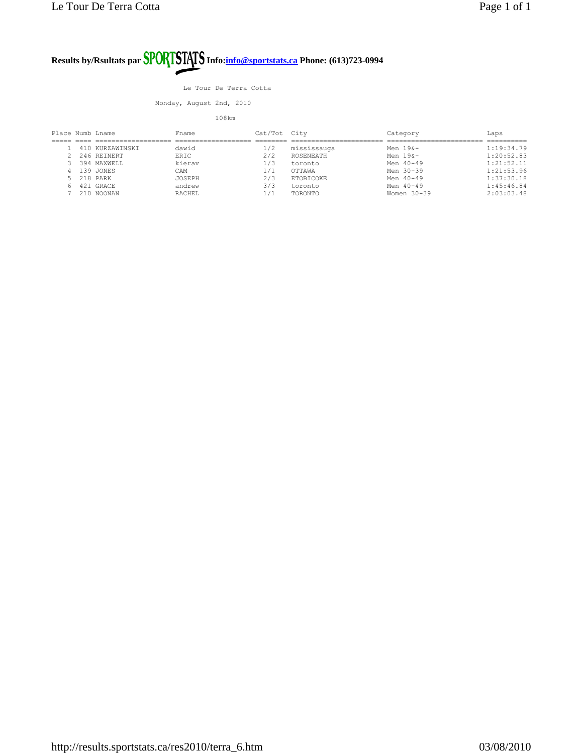Le Tour De Terra Cotta

Monday, August 2nd, 2010

| Place Numb Lname |            |                 | Fname         | Cat/Tot City |             | Category      | Laps       |
|------------------|------------|-----------------|---------------|--------------|-------------|---------------|------------|
|                  |            |                 |               |              |             |               |            |
|                  |            | 410 KURZAWINSKI | dawid         | 1/2          | mississauga | Men $198-$    | 1:19:34.79 |
|                  |            | 2 246 REINERT   | ERIC          | 2/2          | ROSENEATH   | Men $198 -$   | 1:20:52.83 |
|                  |            | 394 MAXWELL     | kierav        | 1/3          | toronto     | Men $40 - 49$ | 1:21:52.11 |
|                  |            | 4 139 JONES     | CAM           | 1/1          | OTTAWA      | Men 30-39     | 1:21:53.96 |
|                  | 5 218 PARK |                 | <b>JOSEPH</b> | 2/3          | ETOBICOKE   | Men $40 - 49$ | 1:37:30.18 |
| 6.               |            | 421 GRACE       | andrew        | 3/3          | toronto     | Men 40-49     | 1:45:46.84 |
|                  |            | $'$ 210 NOONAN  | RACHEL        | 1/1          | TORONTO     | Women 30-39   | 2:03:03.48 |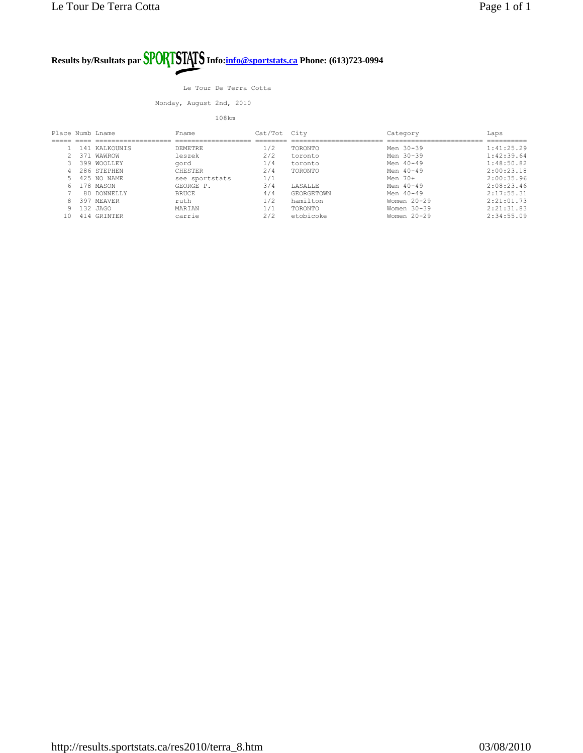Le Tour De Terra Cotta

Monday, August 2nd, 2010

| Place Numb Lname |               | Fname          | Cat/Tot City |                   | Category      | Laps       |
|------------------|---------------|----------------|--------------|-------------------|---------------|------------|
|                  |               |                |              |                   |               |            |
|                  | 141 KALKOUNTS | <b>DEMETRE</b> | 1/2          | TORONTO           | Men 30-39     | 1:41:25.29 |
|                  | 371 WAWROW    | leszek         | 2/2          | toronto           | Men $30 - 39$ | 1:42:39.64 |
|                  | 399 WOOLLEY   | gord           | 1/4          | toronto           | Men $40 - 49$ | 1:48:50.82 |
|                  | 286 STEPHEN   | CHESTER        | 2/4          | TORONTO           | Men 40-49     | 2:00:23.18 |
|                  | 425 NO NAME   | see sportstats | 1/1          |                   | Men 70+       | 2:00:35.96 |
|                  | 178 MASON     | GEORGE P.      | 3/4          | <b>LASALLE</b>    | Men $40 - 49$ | 2:08:23.46 |
|                  | 80 DONNELLY   | <b>BRUCE</b>   | 4/4          | <b>GEORGETOWN</b> | Men 40-49     | 2:17:55.31 |
|                  | 397 MEAVER    | ruth           | 1/2          | hamilton          | Women $20-29$ | 2:21:01.73 |
|                  | 132 JAGO      | MARTAN         | 1/1          | TORONTO           | Women $30-39$ | 2:21:31.83 |
| 1 N              | 414 GRINTER   | carrie         | 2/2          | etobicoke         | Women $20-29$ | 2:34:55.09 |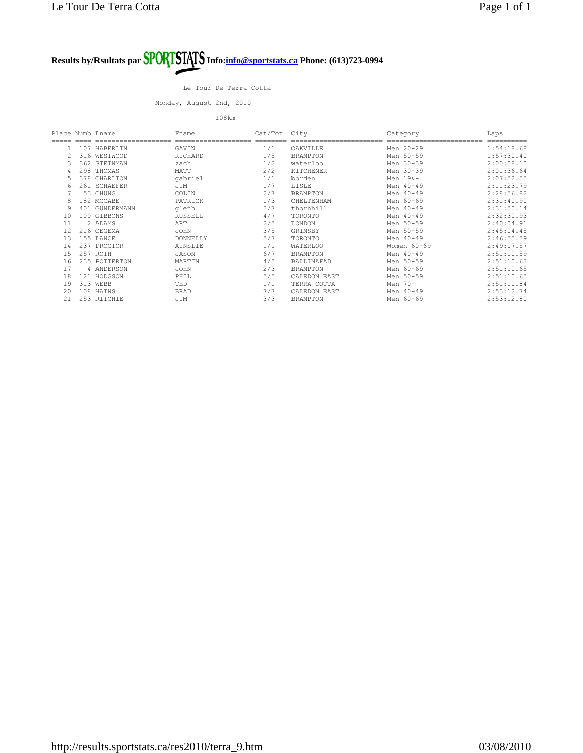Le Tour De Terra Cotta

Monday, August 2nd, 2010

| Place Numb Lname |     |                | Fname       | Cat/Tot City |                 | Category    | Laps       |
|------------------|-----|----------------|-------------|--------------|-----------------|-------------|------------|
|                  |     |                |             |              |                 |             |            |
|                  |     | 107 HABERLIN   | GAVIN       | 1/1          | OAKVILLE        | Men 20-29   | 1:54:18.68 |
|                  | 316 | WESTWOOD       | RICHARD     | 1/5          | <b>BRAMPTON</b> | Men 50-59   | 1:57:30.40 |
|                  |     | 362 STEINMAN   | zach        | 1/2          | waterloo        | Men 30-39   | 2:00:08.10 |
| 4                |     | 298 THOMAS     | MATT        | 2/2          | KITCHENER       | Men 30-39   | 2:01:36.64 |
|                  |     | 378 CHARLTON   | qabriel     | 1/1          | borden          | Men $196-$  | 2:07:52.55 |
| 6                |     | 261 SCHAEFER   | JIM         | 1/7          | LISLE           | Men 40-49   | 2:11:23.79 |
|                  |     | 53 CHUNG       | COLIN       | 2/7          | <b>BRAMPTON</b> | Men 40-49   | 2:28:56.82 |
| 8                |     | 182 MCCABE     | PATRICK     | 1/3          | CHELTENHAM      | Men 60-69   | 2:31:40.90 |
| 9                |     | 401 GUNDERMANN | glenh       | 3/7          | thornhill       | Men 40-49   | 2:31:50.14 |
| 10               |     | 100 GIBBONS    | RUSSELL     | 4/7          | TORONTO         | Men 40-49   | 2:32:30.93 |
| 11               |     | 2 ADAMS        | ART         | 2/5          | LONDON          | Men 50-59   | 2:40:04.91 |
| 12               |     | 216 OEGEMA     | <b>JOHN</b> | 3/5          | GRIMSBY         | Men 50-59   | 2:45:04.45 |
| 13               |     | 155 LANCE      | DONNELLY    | 5/7          | TORONTO         | Men 40-49   | 2:46:55.39 |
| 14               |     | 237 PROCTOR    | AINSLIE     | 1/1          | <b>WATERLOO</b> | Women 60-69 | 2:49:07.57 |
| 15               |     | 257 ROTH       | JASON       | 6/7          | <b>BRAMPTON</b> | Men 40-49   | 2:51:10.59 |
| 16               |     | 235 POTTERTON  | MARTIN      | 4/5          | BALLINAFAD      | Men 50-59   | 2:51:10.63 |
| 17               |     | 4 ANDERSON     | <b>JOHN</b> | 2/3          | <b>BRAMPTON</b> | Men 60-69   | 2:51:10.65 |
| 18               |     | 121 HODGSON    | PHIL        | 5/5          | CALEDON EAST    | Men 50-59   | 2:51:10.65 |
| 19               |     | 313 WEBB       | TED         | 1/1          | TERRA COTTA     | Men 70+     | 2:51:10.84 |
| 20               |     | 108 HAINS      | <b>BRAD</b> | 7/7          | CALEDON EAST    | Men 40-49   | 2:53:12.74 |
| 21               |     | 253 RITCHIE    | JIM         | 3/3          | <b>BRAMPTON</b> | Men 60-69   | 2:53:12.80 |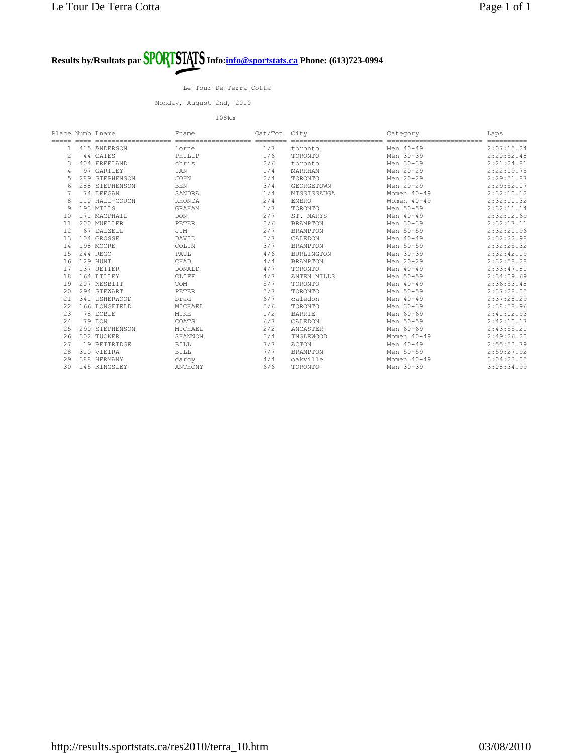Le Tour De Terra Cotta

Monday, August 2nd, 2010

| Place Numb Lname |                       | Fname                 | Cat/Tot             | City                       | Category                              | Laps                    |
|------------------|-----------------------|-----------------------|---------------------|----------------------------|---------------------------------------|-------------------------|
|                  | ===================== | ===================== | $=$ = = = = = = = = | ========================== | ------------------<br>$=$ $=$ $=$ $=$ | $=$ = = = = = = = = = = |
|                  | 415 ANDERSON          | lorne                 | 1/7                 | toronto                    | Men 40-49                             | 2:07:15.24              |
| 2                | 44 CATES              | PHILIP                | 1/6                 | TORONTO                    | Men 30-39                             | 2:20:52.48              |
|                  | 404 FREELAND          | chris                 | 2/6                 | toronto                    | Men 30-39                             | 2:21:24.81              |
|                  | 97 GARTLEY            | IAN                   | 1/4                 | MARKHAM                    | Men 20-29                             | 2:22:09.75              |
|                  | 289 STEPHENSON        | <b>JOHN</b>           | 2/4                 | TORONTO                    | Men 20-29                             | 2:29:51.87              |
|                  | 288 STEPHENSON        | <b>BEN</b>            | 3/4                 | <b>GEORGETOWN</b>          | Men 20-29                             | 2:29:52.07              |
|                  | 74 DEEGAN             | SANDRA                | 1/4                 | MISSISSAUGA                | Women $40 - 49$                       | 2:32:10.12              |
|                  | 110 HALL-COUCH        | <b>RHONDA</b>         | 2/4                 | <b>EMBRO</b>               | Women $40 - 49$                       | 2:32:10.32              |
|                  | 193 MILLS             | <b>GRAHAM</b>         | 1/7                 | TORONTO                    | Men 50-59                             | 2:32:11.14              |
| 10               | 171 MACPHATI.         | <b>DON</b>            | 2/7                 | ST. MARYS                  | Men 40-49                             | 2:32:12.69              |
| 11               | 200 MUELLER           | PETER                 | 3/6                 | <b>BRAMPTON</b>            | Men 30-39                             | 2:32:17.11              |
| 12               | 67 DALZELL            | JIM                   | 2/7                 | <b>BRAMPTON</b>            | Men 50-59                             | 2:32:20.96              |
| 13               | 104 GROSSE            | DAVID                 | 3/7                 | CALEDON                    | Men 40-49                             | 2:32:22.98              |
| 14               | 198 MOORE             | COLIN                 | 3/7                 | <b>BRAMPTON</b>            | Men 50-59                             | 2:32:25.32              |
| 15               | 244 REGO              | PAUL                  | 4/6                 | <b>BURLINGTON</b>          | Men 30-39                             | 2:32:42.19              |
| 16               | 129 HUNT              | CHAD                  | 4/4                 | <b>BRAMPTON</b>            | Men 20-29                             | 2:32:58.28              |
| 17               | 137 JETTER            | <b>DONALD</b>         | 4/7                 | TORONTO                    | Men 40-49                             | 2:33:47.80              |
| 18               | 164 LILLEY            | CLIFF                 | 4/7                 | ANTEN MILLS                | Men 50-59                             | 2:34:09.69              |
| 19               | 207 NESBITT           | TOM                   | 5/7                 | TORONTO                    | Men 40-49                             | 2:36:53.48              |
| 20               | 294 STEWART           | PETER                 | 5/7                 | TORONTO                    | Men 50-59                             | 2:37:28.05              |
| 21               | 341 USHERWOOD         | brad                  | 6/7                 | caledon                    | Men 40-49                             | 2:37:28.29              |
| 22               | 166 LONGFIELD         | MICHAEL               | 5/6                 | TORONTO                    | Men 30-39                             | 2:38:58.96              |
| 23               | 78 DOBLE              | MIKE                  | 1/2                 | <b>BARRIE</b>              | Men 60-69                             | 2:41:02.93              |
| 24               | 79 DON                | COATS                 | 6/7                 | CALEDON                    | Men 50-59                             | 2:42:10.17              |
| 25               | 290 STEPHENSON        | MICHAEL               | 2/2                 | ANCASTER                   | Men 60-69                             | 2:43:55.20              |
| 26               | 302 TUCKER            | SHANNON               | 3/4                 | INGLEWOOD                  | Women $40 - 49$                       | 2:49:26.20              |
| 27               | 19 BETTRIDGE          | <b>BILL</b>           | 7/7                 | <b>ACTON</b>               | Men 40-49                             | 2:55:53.79              |
| 28               | 310 VIEIRA            | <b>BILL</b>           | 7/7                 | <b>BRAMPTON</b>            | Men 50-59                             | 2:59:27.92              |
| 29               | 388 HERMANY           | darcy                 | 4/4                 | oakville                   | Women 40-49                           | 3:04:23.05              |
| 30               | 145 KINGSLEY          | ANTHONY               | 6/6                 | TORONTO                    | Men 30-39                             | 3:08:34.99              |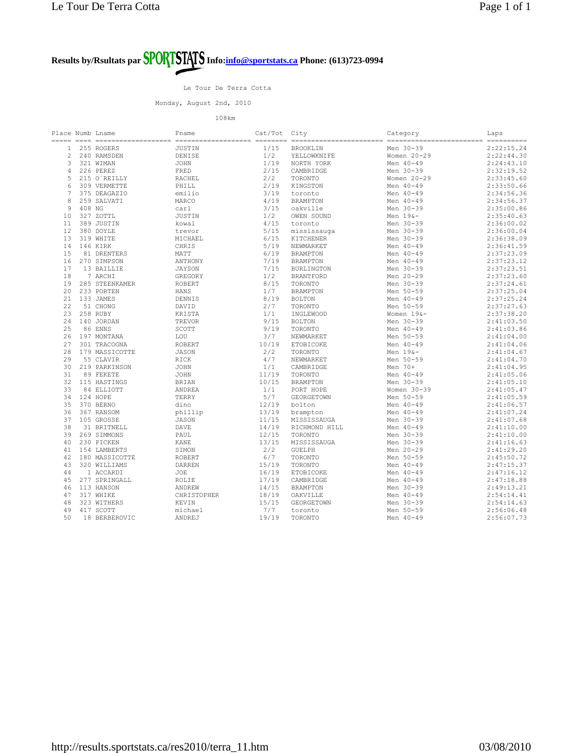Le Tour De Terra Cotta

Monday, August 2nd, 2010

| Place Numb Lname |          |                | Fname         | Cat/Tot City |                   | Category        | Laps                    |
|------------------|----------|----------------|---------------|--------------|-------------------|-----------------|-------------------------|
|                  |          |                |               |              |                   |                 | $=$ = = = = = = = = = = |
| $\mathbf{1}$     |          | 255 ROGERS     | JUSTIN        | 1/15         | <b>BROOKLIN</b>   | Men 30-39       | 2:22:15.24              |
| 2                |          | 240 RAMSDEN    | DENISE        | 1/2          | YELLOWKNIFE       | Women $20 - 29$ | 2:22:44.30              |
| 3                |          | 321 WIMAN      | <b>JOHN</b>   | 1/19         | NORTH YORK        | Men 40-49       | 2:24:43.10              |
| $\overline{4}$   |          | 226 PEREZ      | FRED          | 2/15         | CAMBRIDGE         | Men 30-39       | 2:32:19.52              |
| 5                |          | 215 O'REILLY   | <b>RACHEL</b> | 2/2          | TORONTO           | Women 20-29     | 2:33:45.60              |
| 6                |          | 309 VERMETTE   | PHILL         | 2/19         | KINGSTON          | Men 40-49       | 2:33:50.66              |
| 7                |          | 375 DEAGAZIO   | emilio        | 3/19         | toronto           | Men 40-49       | 2:34:56.36              |
| 8                |          | 259 SALVATI    | MARCO         | 4/19         | <b>BRAMPTON</b>   | Men 40-49       | 2:34:56.37              |
| $\overline{9}$   | 408 NG   |                | carl          | 3/15         | oakville          | Men 30-39       | 2:35:00.86              |
| 10               |          | 327 ZOTTL      | <b>JUSTIN</b> | 1/2          | OWEN SOUND        | Men $196-$      | 2:35:40.63              |
| 11               |          | 389 JUSTIN     |               | 4/15         |                   | Men 30-39       | 2:36:00.02              |
|                  |          |                | kowal         |              | toronto           |                 |                         |
| 12               |          | 380 DOYLE      | trevor        | 5/15         | mississauga       | Men 30-39       | 2:36:00.04              |
| 13               |          | 319 WHITE      | MICHAEL       | 6/15         | KITCHENER         | Men 30-39       | 2:36:38.09              |
| 14               |          | 146 KIRK       | CHRIS         | 5/19         | NEWMARKET         | Men 40-49       | 2:36:41.59              |
| 15               |          | 81 DRENTERS    | MATT          | 6/19         | <b>BRAMPTON</b>   | Men 40-49       | 2:37:23.09              |
| 16               |          | 270 SIMPSON    | ANTHONY       | 7/19         | <b>BRAMPTON</b>   | Men 40-49       | 2:37:23.12              |
| 17               |          | 13 BAILLIE     | <b>JAYSON</b> | 7/15         | <b>BURLINGTON</b> | Men 30-39       | 2:37:23.51              |
| 18               |          | 7 ARCHI        | GREGORY       | 1/2          | <b>BRANTFORD</b>  | Men 20-29       | 2:37:23.60              |
| 19               |          | 285 STEENKAMER | <b>ROBERT</b> | 8/15         | TORONTO           | Men 30-39       | 2:37:24.61              |
| 20               |          | 233 PORTEN     | HANS          | 1/7          | <b>BRAMPTON</b>   | Men 50-59       | 2:37:25.04              |
| 21               |          | 133 JAMES      | DENNIS        | 8/19         | <b>BOLTON</b>     | Men 40-49       | 2:37:25.24              |
| 22               |          | 51 CHONG       | DAVID         | 2/7          | TORONTO           | Men 50-59       | 2:37:27.63              |
| 23               |          | 258 RUBY       | KRISTA        | 1/1          | INGLEWOOD         | Women 19&-      | 2:37:38.20              |
| 24               |          | 140 JORDAN     | TREVOR        | 9/15         | <b>BOLTON</b>     | Men 30-39       | 2:41:03.50              |
| 25               |          | 86 ENNS        | SCOTT         | 9/19         | TORONTO           | Men 40-49       | 2:41:03.86              |
| 26               |          | 197 MONTANA    | LOU           | 3/7          | NEWMARKET         | Men 50-59       | 2:41:04.00              |
| 27               |          | 301 TRACOGNA   | <b>ROBERT</b> | 10/19        | ETOBICOKE         | Men 40-49       | 2:41:04.06              |
| 28               |          | 179 MASSICOTTE | <b>JASON</b>  | 2/2          | TORONTO           | Men 19&-        | 2:41:04.67              |
| 29               |          | 55 CLAVIR      | RICK          | 4/7          | NEWMARKET         | Men 50-59       | 2:41:04.70              |
| 30               |          | 219 PARKINSON  | <b>JOHN</b>   | 1/1          | CAMBRIDGE         | Men 70+         | 2:41:04.95              |
| 31               |          | 89 FEKETE      | JOHN          | 11/19        | TORONTO           | Men 40-49       | 2:41:05.06              |
| 32               |          | 115 HASTINGS   | <b>BRIAN</b>  | 10/15        | <b>BRAMPTON</b>   | Men 30-39       | 2:41:05.10              |
| 33               |          | 84 ELLIOTT     | ANDREA        | 1/1          | PORT HOPE         | Women 30-39     | 2:41:05.47              |
| 34               | 124 HOPE |                | TERRY         | 5/7          | GEORGETOWN        | Men 50-59       | 2:41:05.59              |
| 35               |          |                |               | 12/19        |                   | Men 40-49       |                         |
|                  |          | 370 BERNO      | dino          |              | bolton            |                 | 2:41:06.57              |
| 36               |          | 367 RANSOM     | phillip       | 13/19        | brampton          | Men 40-49       | 2:41:07.24              |
| 37               |          | 105 GROSSE     | <b>JASON</b>  | 11/15        | MISSISSAUGA       | Men 30-39       | 2:41:07.68              |
| 38               |          | 31 BRITNELL    | <b>DAVE</b>   | 14/19        | RICHMOND HILL     | Men 40-49       | 2:41:10.00              |
| 39               |          | 269 SIMMONS    | PAUL          | 12/15        | TORONTO           | Men 30-39       | 2:41:10.00              |
| 40               |          | 230 PICKEN     | <b>KANE</b>   | 13/15        | MISSISSAUGA       | Men 30-39       | 2:41:16.63              |
| 41               |          | 154 LAMBERTS   | SIMON         | 2/2          | <b>GUELPH</b>     | Men 20-29       | 2:41:29.20              |
| 42               |          | 180 MASSICOTTE | <b>ROBERT</b> | 6/7          | TORONTO           | Men 50-59       | 2:45:50.72              |
| 43               |          | 320 WILLIAMS   | <b>DARREN</b> | 15/19        | TORONTO           | Men 40-49       | 2:47:15.37              |
| 44               |          | 1 ACCARDI      | JOE           | 16/19        | ETOBICOKE         | Men 40-49       | 2:47:16.12              |
| 45               |          | 277 SPRINGALL  | ROLIE         | 17/19        | CAMBRIDGE         | Men 40-49       | 2:47:18.88              |
| 46               |          | 113 HANSON     | ANDREW        | 14/15        | <b>BRAMPTON</b>   | Men 30-39       | 2:49:13.21              |
| 47               |          | 317 WHIKE      | CHRISTOPHER   | 18/19        | OAKVILLE          | Men 40-49       | 2:54:14.41              |
| 48               |          | 323 WITHERS    | KEVIN         | 15/15        | GEORGETOWN        | Men 30-39       | 2:54:14.63              |
| 49               |          | 417 SCOTT      | michael       | 7/7          | toronto           | Men 50-59       | 2:56:06.48              |
| 50               |          | 18 BERBEROVIC  | ANDREJ        | 19/19        | TORONTO           | Men 40-49       | 2:56:07.73              |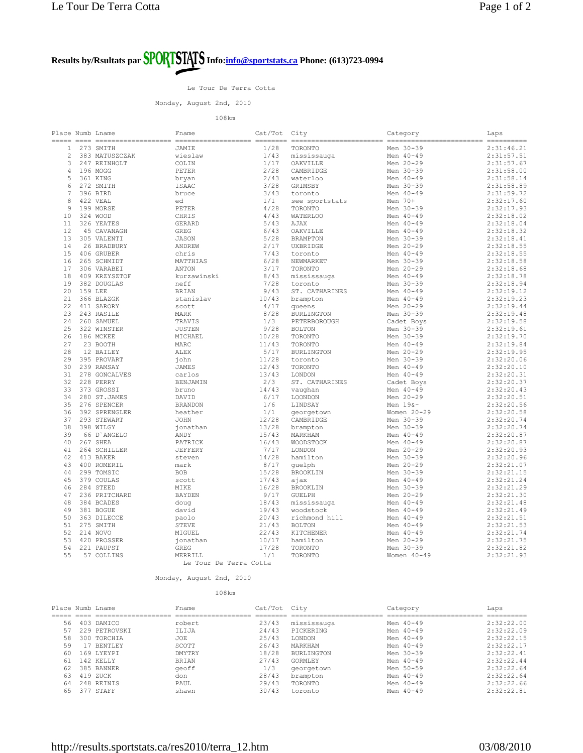Le Tour De Terra Cotta

Monday, August 2nd, 2010

108km

| $=$ ==========<br>1/28<br>Men 30-39<br>2:31:46.21<br>273 SMITH<br>TORONTO<br>1<br>JAMIE<br>$\overline{c}$<br>1/43<br>Men 40-49<br>2:31:57.51<br>383 MATUSZCZAK<br>wieslaw<br>mississauga<br>3<br>247 REINHOLT<br>COLIN<br>1/17<br>OAKVILLE<br>Men 20-29<br>2:31:57.67<br>$\overline{4}$<br>196 MOGG<br>PETER<br>2/28<br>CAMBRIDGE<br>Men 30-39<br>2:31:58.00<br>5<br>2/43<br>Men 40-49<br>2:31:58.14<br>361 KING<br>waterloo<br>bryan<br>Men 30-39<br>2:31:58.89<br>6<br>272 SMITH<br><b>ISAAC</b><br>3/28<br>GRIMSBY<br>$7\phantom{.0}$<br>396 BIRD<br>3/43<br>Men 40-49<br>2:31:59.72<br>bruce<br>toronto<br>8<br>2:32:17.60<br>422 VEAL<br>1/1<br>Men 70+<br>ed<br>see sportstats<br>$\overline{9}$<br>199 MORSE<br>4/28<br>Men 30-39<br>2:32:17.93<br>PETER<br>TORONTO<br>4/43<br>2:32:18.02<br>10<br>324 WOOD<br>CHRIS<br><b>WATERLOO</b><br>Men 40-49<br>5/43<br>Men 40-49<br>2:32:18.04<br>11<br>326 YEATES<br><b>GERARD</b><br>AJAX<br>12<br>6/43<br>2:32:18.32<br>45 CAVANAGH<br>Men 40-49<br>GREG<br>OAKVILLE<br>5/28<br>13<br>305 VALENTI<br><b>JASON</b><br><b>BRAMPTON</b><br>Men 30-39<br>2:32:18.41<br>26 BRADBURY<br>2/17<br>Men 20-29<br>2:32:18.55<br>14<br>ANDREW<br>UXBRIDGE<br>15<br>406 GRUBER<br>7/43<br>Men 40-49<br>2:32:18.55<br>chris<br>toronto<br>6/28<br>Men 30-39<br>2:32:18.58<br>16<br>265 SCHMIDT<br>MATTHIAS<br>NEWMARKET<br>3/17<br>17<br>Men 20-29<br>2:32:18.68<br>306 VARABEI<br>ANTON<br>TORONTO<br>18<br>409 KRZYSZTOF<br>8/43<br>Men 40-49<br>2:32:18.78<br>kurzawinski<br>mississauga<br>19<br>382 DOUGLAS<br>7/28<br>Men 30-39<br>2:32:18.94<br>neff<br>toronto<br>20<br>159 LEE<br><b>BRIAN</b><br>9/43<br>ST. CATHARINES<br>Men 40-49<br>2:32:19.12<br>10/43<br>Men 40-49<br>2:32:19.23<br>21<br>366 BLAZGK<br>stanislav<br>brampton<br>22<br>4/17<br>Men 20-29<br>2:32:19.44<br>411 SARORY<br>scott<br>queens<br>23<br>243 RASILE<br>8/28<br>Men 30-39<br>2:32:19.48<br>MARK<br><b>BURLINGTON</b><br>2.4<br>260 SAMUEL<br>TRAVIS<br>1/3<br>PETERBOROUGH<br>Cadet Boys<br>2:32:19.58<br>25<br>322 WINSTER<br>9/28<br>2:32:19.61<br><b>JUSTEN</b><br><b>BOLTON</b><br>Men 30-39<br>Men 30-39<br>26<br>186 MCKEE<br>MICHAEL<br>10/28<br>TORONTO<br>2:32:19.70<br>2.7<br>11/43<br>Men 40-49<br>2:32:19.84<br>23 BOOTH<br>MARC<br>TORONTO<br>28<br>5/17<br>Men 20-29<br>2:32:19.95<br>12 BAILEY<br>ALEX<br><b>BURLINGTON</b><br>Men 30-39<br>29<br>395 PROVART<br>iohn<br>11/28<br>2:32:20.06<br>toronto<br>239 RAMSAY<br>12/43<br>Men 40-49<br>2:32:20.10<br>30<br><b>JAMES</b><br>TORONTO<br>13/43<br>31<br>278 GONCALVES<br>Men 40-49<br>2:32:20.31<br>carlos<br>LONDON<br>32<br>228 PERRY<br>2/3<br>2:32:20.37<br>BENJAMIN<br>ST. CATHARINES<br>Cadet Boys<br>33<br>14/43<br>Men 40-49<br>2:32:20.43<br>373 GROSSI<br>vaughan<br>bruno<br>6/17<br>Men 20-29<br>2:32:20.51<br>34<br>280 ST.JAMES<br>DAVID<br>LOONDON<br>35<br>276 SPENCER<br>1/6<br>LINDSAY<br>Men $196-$<br>2:32:20.56<br><b>BRANDON</b><br>36<br>392 SPRENGLER<br>1/1<br>Women 20-29<br>2:32:20.58<br>heather<br>georgetown<br>12/28<br>Men 30-39<br>2:32:20.74<br>37<br>293 STEWART<br><b>JOHN</b><br>CAMBRIDGE<br>38<br>398 WILGY<br>Men 30-39<br>2:32:20.74<br>13/28<br>jonathan<br>brampton<br>39<br>66 D'ANGELO<br>15/43<br>Men 40-49<br>2:32:20.87<br>ANDY<br>MARKHAM<br>40<br>267 SHEA<br>PATRICK<br>16/43<br><b>WOODSTOCK</b><br>Men 40-49<br>2:32:20.87<br>41<br>264 SCHILLER<br>7/17<br>Men 20-29<br>2:32:20.93<br>JEFFERY<br>LONDON<br>14/28<br>Men 30-39<br>2:32:20.96<br>42<br>413 BAKER<br>hamilton<br>steven<br>43<br>8/17<br>Men 20-29<br>2:32:21.07<br>400 ROMERIL<br>quelph<br>mark<br>299 TOMSIC<br><b>BOB</b><br>15/28<br><b>BROOKLIN</b><br>Men 30-39<br>2:32:21.15<br>44<br>45<br>379 COULAS<br>17/43<br>Men 40-49<br>2:32:21.24<br>scott<br>ајах<br>46<br>284 STEED<br>MIKE<br>16/28<br>Men 30-39<br>2:32:21.29<br>BROOKLIN<br>47<br>236 PRITCHARD<br><b>BAYDEN</b><br>9/17<br><b>GUELPH</b><br>Men 20-29<br>2:32:21.30<br>48<br>18/43<br>Men 40-49<br>384 BCADES<br>2:32:21.48<br>doug<br>mississauga<br>49<br>381 BOGUE<br>19/43<br>Men 40-49<br>2:32:21.49<br>david<br>woodstock<br>50<br>363 DILECCE<br>20/43<br>richmond hill<br>Men 40-49<br>2:32:21.51<br>paolo<br>21/43<br>Men 40-49<br>2:32:21.53<br>51<br>275 SMITH<br>STEVE<br><b>BOLTON</b><br>52<br>214 NOVO<br>MIGUEL<br>22/43<br>KITCHENER<br>Men 40-49<br>2:32:21.74<br>53<br>Men 20-29<br>420 PROSSER<br>10/17<br>2:32:21.75<br>ionathan<br>hamilton<br>54<br>17/28<br>Men 30-39<br>2:32:21.82<br>221 PAUPST<br>GREG<br>TORONTO<br>55<br>57 COLLINS<br>MERRILL<br>1/1<br>TORONTO<br>Women $40 - 49$<br>2:32:21.93<br>Le Tour De Terra Cotta | Place Numb Lname |  | Fname | Cat/Tot | City | Category | Laps |
|----------------------------------------------------------------------------------------------------------------------------------------------------------------------------------------------------------------------------------------------------------------------------------------------------------------------------------------------------------------------------------------------------------------------------------------------------------------------------------------------------------------------------------------------------------------------------------------------------------------------------------------------------------------------------------------------------------------------------------------------------------------------------------------------------------------------------------------------------------------------------------------------------------------------------------------------------------------------------------------------------------------------------------------------------------------------------------------------------------------------------------------------------------------------------------------------------------------------------------------------------------------------------------------------------------------------------------------------------------------------------------------------------------------------------------------------------------------------------------------------------------------------------------------------------------------------------------------------------------------------------------------------------------------------------------------------------------------------------------------------------------------------------------------------------------------------------------------------------------------------------------------------------------------------------------------------------------------------------------------------------------------------------------------------------------------------------------------------------------------------------------------------------------------------------------------------------------------------------------------------------------------------------------------------------------------------------------------------------------------------------------------------------------------------------------------------------------------------------------------------------------------------------------------------------------------------------------------------------------------------------------------------------------------------------------------------------------------------------------------------------------------------------------------------------------------------------------------------------------------------------------------------------------------------------------------------------------------------------------------------------------------------------------------------------------------------------------------------------------------------------------------------------------------------------------------------------------------------------------------------------------------------------------------------------------------------------------------------------------------------------------------------------------------------------------------------------------------------------------------------------------------------------------------------------------------------------------------------------------------------------------------------------------------------------------------------------------------------------------------------------------------------------------------------------------------------------------------------------------------------------------------------------------------------------------------------------------------------------------------------------------------------------------------------------------------------------------------------------------------------------------------------------------------------------------------------------------------------------------------------------------------------------------------------------------------------------------------------------------------------------------------------------------------------------------------------------------------------------------------------------------------------------------------------------------------------------------------------------------------------------------------------------|------------------|--|-------|---------|------|----------|------|
|                                                                                                                                                                                                                                                                                                                                                                                                                                                                                                                                                                                                                                                                                                                                                                                                                                                                                                                                                                                                                                                                                                                                                                                                                                                                                                                                                                                                                                                                                                                                                                                                                                                                                                                                                                                                                                                                                                                                                                                                                                                                                                                                                                                                                                                                                                                                                                                                                                                                                                                                                                                                                                                                                                                                                                                                                                                                                                                                                                                                                                                                                                                                                                                                                                                                                                                                                                                                                                                                                                                                                                                                                                                                                                                                                                                                                                                                                                                                                                                                                                                                                                                                                                                                                                                                                                                                                                                                                                                                                                                                                                                                                                                    |                  |  |       |         |      |          |      |
|                                                                                                                                                                                                                                                                                                                                                                                                                                                                                                                                                                                                                                                                                                                                                                                                                                                                                                                                                                                                                                                                                                                                                                                                                                                                                                                                                                                                                                                                                                                                                                                                                                                                                                                                                                                                                                                                                                                                                                                                                                                                                                                                                                                                                                                                                                                                                                                                                                                                                                                                                                                                                                                                                                                                                                                                                                                                                                                                                                                                                                                                                                                                                                                                                                                                                                                                                                                                                                                                                                                                                                                                                                                                                                                                                                                                                                                                                                                                                                                                                                                                                                                                                                                                                                                                                                                                                                                                                                                                                                                                                                                                                                                    |                  |  |       |         |      |          |      |
|                                                                                                                                                                                                                                                                                                                                                                                                                                                                                                                                                                                                                                                                                                                                                                                                                                                                                                                                                                                                                                                                                                                                                                                                                                                                                                                                                                                                                                                                                                                                                                                                                                                                                                                                                                                                                                                                                                                                                                                                                                                                                                                                                                                                                                                                                                                                                                                                                                                                                                                                                                                                                                                                                                                                                                                                                                                                                                                                                                                                                                                                                                                                                                                                                                                                                                                                                                                                                                                                                                                                                                                                                                                                                                                                                                                                                                                                                                                                                                                                                                                                                                                                                                                                                                                                                                                                                                                                                                                                                                                                                                                                                                                    |                  |  |       |         |      |          |      |
|                                                                                                                                                                                                                                                                                                                                                                                                                                                                                                                                                                                                                                                                                                                                                                                                                                                                                                                                                                                                                                                                                                                                                                                                                                                                                                                                                                                                                                                                                                                                                                                                                                                                                                                                                                                                                                                                                                                                                                                                                                                                                                                                                                                                                                                                                                                                                                                                                                                                                                                                                                                                                                                                                                                                                                                                                                                                                                                                                                                                                                                                                                                                                                                                                                                                                                                                                                                                                                                                                                                                                                                                                                                                                                                                                                                                                                                                                                                                                                                                                                                                                                                                                                                                                                                                                                                                                                                                                                                                                                                                                                                                                                                    |                  |  |       |         |      |          |      |
|                                                                                                                                                                                                                                                                                                                                                                                                                                                                                                                                                                                                                                                                                                                                                                                                                                                                                                                                                                                                                                                                                                                                                                                                                                                                                                                                                                                                                                                                                                                                                                                                                                                                                                                                                                                                                                                                                                                                                                                                                                                                                                                                                                                                                                                                                                                                                                                                                                                                                                                                                                                                                                                                                                                                                                                                                                                                                                                                                                                                                                                                                                                                                                                                                                                                                                                                                                                                                                                                                                                                                                                                                                                                                                                                                                                                                                                                                                                                                                                                                                                                                                                                                                                                                                                                                                                                                                                                                                                                                                                                                                                                                                                    |                  |  |       |         |      |          |      |
|                                                                                                                                                                                                                                                                                                                                                                                                                                                                                                                                                                                                                                                                                                                                                                                                                                                                                                                                                                                                                                                                                                                                                                                                                                                                                                                                                                                                                                                                                                                                                                                                                                                                                                                                                                                                                                                                                                                                                                                                                                                                                                                                                                                                                                                                                                                                                                                                                                                                                                                                                                                                                                                                                                                                                                                                                                                                                                                                                                                                                                                                                                                                                                                                                                                                                                                                                                                                                                                                                                                                                                                                                                                                                                                                                                                                                                                                                                                                                                                                                                                                                                                                                                                                                                                                                                                                                                                                                                                                                                                                                                                                                                                    |                  |  |       |         |      |          |      |
|                                                                                                                                                                                                                                                                                                                                                                                                                                                                                                                                                                                                                                                                                                                                                                                                                                                                                                                                                                                                                                                                                                                                                                                                                                                                                                                                                                                                                                                                                                                                                                                                                                                                                                                                                                                                                                                                                                                                                                                                                                                                                                                                                                                                                                                                                                                                                                                                                                                                                                                                                                                                                                                                                                                                                                                                                                                                                                                                                                                                                                                                                                                                                                                                                                                                                                                                                                                                                                                                                                                                                                                                                                                                                                                                                                                                                                                                                                                                                                                                                                                                                                                                                                                                                                                                                                                                                                                                                                                                                                                                                                                                                                                    |                  |  |       |         |      |          |      |
|                                                                                                                                                                                                                                                                                                                                                                                                                                                                                                                                                                                                                                                                                                                                                                                                                                                                                                                                                                                                                                                                                                                                                                                                                                                                                                                                                                                                                                                                                                                                                                                                                                                                                                                                                                                                                                                                                                                                                                                                                                                                                                                                                                                                                                                                                                                                                                                                                                                                                                                                                                                                                                                                                                                                                                                                                                                                                                                                                                                                                                                                                                                                                                                                                                                                                                                                                                                                                                                                                                                                                                                                                                                                                                                                                                                                                                                                                                                                                                                                                                                                                                                                                                                                                                                                                                                                                                                                                                                                                                                                                                                                                                                    |                  |  |       |         |      |          |      |
|                                                                                                                                                                                                                                                                                                                                                                                                                                                                                                                                                                                                                                                                                                                                                                                                                                                                                                                                                                                                                                                                                                                                                                                                                                                                                                                                                                                                                                                                                                                                                                                                                                                                                                                                                                                                                                                                                                                                                                                                                                                                                                                                                                                                                                                                                                                                                                                                                                                                                                                                                                                                                                                                                                                                                                                                                                                                                                                                                                                                                                                                                                                                                                                                                                                                                                                                                                                                                                                                                                                                                                                                                                                                                                                                                                                                                                                                                                                                                                                                                                                                                                                                                                                                                                                                                                                                                                                                                                                                                                                                                                                                                                                    |                  |  |       |         |      |          |      |
|                                                                                                                                                                                                                                                                                                                                                                                                                                                                                                                                                                                                                                                                                                                                                                                                                                                                                                                                                                                                                                                                                                                                                                                                                                                                                                                                                                                                                                                                                                                                                                                                                                                                                                                                                                                                                                                                                                                                                                                                                                                                                                                                                                                                                                                                                                                                                                                                                                                                                                                                                                                                                                                                                                                                                                                                                                                                                                                                                                                                                                                                                                                                                                                                                                                                                                                                                                                                                                                                                                                                                                                                                                                                                                                                                                                                                                                                                                                                                                                                                                                                                                                                                                                                                                                                                                                                                                                                                                                                                                                                                                                                                                                    |                  |  |       |         |      |          |      |
|                                                                                                                                                                                                                                                                                                                                                                                                                                                                                                                                                                                                                                                                                                                                                                                                                                                                                                                                                                                                                                                                                                                                                                                                                                                                                                                                                                                                                                                                                                                                                                                                                                                                                                                                                                                                                                                                                                                                                                                                                                                                                                                                                                                                                                                                                                                                                                                                                                                                                                                                                                                                                                                                                                                                                                                                                                                                                                                                                                                                                                                                                                                                                                                                                                                                                                                                                                                                                                                                                                                                                                                                                                                                                                                                                                                                                                                                                                                                                                                                                                                                                                                                                                                                                                                                                                                                                                                                                                                                                                                                                                                                                                                    |                  |  |       |         |      |          |      |
|                                                                                                                                                                                                                                                                                                                                                                                                                                                                                                                                                                                                                                                                                                                                                                                                                                                                                                                                                                                                                                                                                                                                                                                                                                                                                                                                                                                                                                                                                                                                                                                                                                                                                                                                                                                                                                                                                                                                                                                                                                                                                                                                                                                                                                                                                                                                                                                                                                                                                                                                                                                                                                                                                                                                                                                                                                                                                                                                                                                                                                                                                                                                                                                                                                                                                                                                                                                                                                                                                                                                                                                                                                                                                                                                                                                                                                                                                                                                                                                                                                                                                                                                                                                                                                                                                                                                                                                                                                                                                                                                                                                                                                                    |                  |  |       |         |      |          |      |
|                                                                                                                                                                                                                                                                                                                                                                                                                                                                                                                                                                                                                                                                                                                                                                                                                                                                                                                                                                                                                                                                                                                                                                                                                                                                                                                                                                                                                                                                                                                                                                                                                                                                                                                                                                                                                                                                                                                                                                                                                                                                                                                                                                                                                                                                                                                                                                                                                                                                                                                                                                                                                                                                                                                                                                                                                                                                                                                                                                                                                                                                                                                                                                                                                                                                                                                                                                                                                                                                                                                                                                                                                                                                                                                                                                                                                                                                                                                                                                                                                                                                                                                                                                                                                                                                                                                                                                                                                                                                                                                                                                                                                                                    |                  |  |       |         |      |          |      |
|                                                                                                                                                                                                                                                                                                                                                                                                                                                                                                                                                                                                                                                                                                                                                                                                                                                                                                                                                                                                                                                                                                                                                                                                                                                                                                                                                                                                                                                                                                                                                                                                                                                                                                                                                                                                                                                                                                                                                                                                                                                                                                                                                                                                                                                                                                                                                                                                                                                                                                                                                                                                                                                                                                                                                                                                                                                                                                                                                                                                                                                                                                                                                                                                                                                                                                                                                                                                                                                                                                                                                                                                                                                                                                                                                                                                                                                                                                                                                                                                                                                                                                                                                                                                                                                                                                                                                                                                                                                                                                                                                                                                                                                    |                  |  |       |         |      |          |      |
|                                                                                                                                                                                                                                                                                                                                                                                                                                                                                                                                                                                                                                                                                                                                                                                                                                                                                                                                                                                                                                                                                                                                                                                                                                                                                                                                                                                                                                                                                                                                                                                                                                                                                                                                                                                                                                                                                                                                                                                                                                                                                                                                                                                                                                                                                                                                                                                                                                                                                                                                                                                                                                                                                                                                                                                                                                                                                                                                                                                                                                                                                                                                                                                                                                                                                                                                                                                                                                                                                                                                                                                                                                                                                                                                                                                                                                                                                                                                                                                                                                                                                                                                                                                                                                                                                                                                                                                                                                                                                                                                                                                                                                                    |                  |  |       |         |      |          |      |
|                                                                                                                                                                                                                                                                                                                                                                                                                                                                                                                                                                                                                                                                                                                                                                                                                                                                                                                                                                                                                                                                                                                                                                                                                                                                                                                                                                                                                                                                                                                                                                                                                                                                                                                                                                                                                                                                                                                                                                                                                                                                                                                                                                                                                                                                                                                                                                                                                                                                                                                                                                                                                                                                                                                                                                                                                                                                                                                                                                                                                                                                                                                                                                                                                                                                                                                                                                                                                                                                                                                                                                                                                                                                                                                                                                                                                                                                                                                                                                                                                                                                                                                                                                                                                                                                                                                                                                                                                                                                                                                                                                                                                                                    |                  |  |       |         |      |          |      |
|                                                                                                                                                                                                                                                                                                                                                                                                                                                                                                                                                                                                                                                                                                                                                                                                                                                                                                                                                                                                                                                                                                                                                                                                                                                                                                                                                                                                                                                                                                                                                                                                                                                                                                                                                                                                                                                                                                                                                                                                                                                                                                                                                                                                                                                                                                                                                                                                                                                                                                                                                                                                                                                                                                                                                                                                                                                                                                                                                                                                                                                                                                                                                                                                                                                                                                                                                                                                                                                                                                                                                                                                                                                                                                                                                                                                                                                                                                                                                                                                                                                                                                                                                                                                                                                                                                                                                                                                                                                                                                                                                                                                                                                    |                  |  |       |         |      |          |      |
|                                                                                                                                                                                                                                                                                                                                                                                                                                                                                                                                                                                                                                                                                                                                                                                                                                                                                                                                                                                                                                                                                                                                                                                                                                                                                                                                                                                                                                                                                                                                                                                                                                                                                                                                                                                                                                                                                                                                                                                                                                                                                                                                                                                                                                                                                                                                                                                                                                                                                                                                                                                                                                                                                                                                                                                                                                                                                                                                                                                                                                                                                                                                                                                                                                                                                                                                                                                                                                                                                                                                                                                                                                                                                                                                                                                                                                                                                                                                                                                                                                                                                                                                                                                                                                                                                                                                                                                                                                                                                                                                                                                                                                                    |                  |  |       |         |      |          |      |
|                                                                                                                                                                                                                                                                                                                                                                                                                                                                                                                                                                                                                                                                                                                                                                                                                                                                                                                                                                                                                                                                                                                                                                                                                                                                                                                                                                                                                                                                                                                                                                                                                                                                                                                                                                                                                                                                                                                                                                                                                                                                                                                                                                                                                                                                                                                                                                                                                                                                                                                                                                                                                                                                                                                                                                                                                                                                                                                                                                                                                                                                                                                                                                                                                                                                                                                                                                                                                                                                                                                                                                                                                                                                                                                                                                                                                                                                                                                                                                                                                                                                                                                                                                                                                                                                                                                                                                                                                                                                                                                                                                                                                                                    |                  |  |       |         |      |          |      |
|                                                                                                                                                                                                                                                                                                                                                                                                                                                                                                                                                                                                                                                                                                                                                                                                                                                                                                                                                                                                                                                                                                                                                                                                                                                                                                                                                                                                                                                                                                                                                                                                                                                                                                                                                                                                                                                                                                                                                                                                                                                                                                                                                                                                                                                                                                                                                                                                                                                                                                                                                                                                                                                                                                                                                                                                                                                                                                                                                                                                                                                                                                                                                                                                                                                                                                                                                                                                                                                                                                                                                                                                                                                                                                                                                                                                                                                                                                                                                                                                                                                                                                                                                                                                                                                                                                                                                                                                                                                                                                                                                                                                                                                    |                  |  |       |         |      |          |      |
|                                                                                                                                                                                                                                                                                                                                                                                                                                                                                                                                                                                                                                                                                                                                                                                                                                                                                                                                                                                                                                                                                                                                                                                                                                                                                                                                                                                                                                                                                                                                                                                                                                                                                                                                                                                                                                                                                                                                                                                                                                                                                                                                                                                                                                                                                                                                                                                                                                                                                                                                                                                                                                                                                                                                                                                                                                                                                                                                                                                                                                                                                                                                                                                                                                                                                                                                                                                                                                                                                                                                                                                                                                                                                                                                                                                                                                                                                                                                                                                                                                                                                                                                                                                                                                                                                                                                                                                                                                                                                                                                                                                                                                                    |                  |  |       |         |      |          |      |
|                                                                                                                                                                                                                                                                                                                                                                                                                                                                                                                                                                                                                                                                                                                                                                                                                                                                                                                                                                                                                                                                                                                                                                                                                                                                                                                                                                                                                                                                                                                                                                                                                                                                                                                                                                                                                                                                                                                                                                                                                                                                                                                                                                                                                                                                                                                                                                                                                                                                                                                                                                                                                                                                                                                                                                                                                                                                                                                                                                                                                                                                                                                                                                                                                                                                                                                                                                                                                                                                                                                                                                                                                                                                                                                                                                                                                                                                                                                                                                                                                                                                                                                                                                                                                                                                                                                                                                                                                                                                                                                                                                                                                                                    |                  |  |       |         |      |          |      |
|                                                                                                                                                                                                                                                                                                                                                                                                                                                                                                                                                                                                                                                                                                                                                                                                                                                                                                                                                                                                                                                                                                                                                                                                                                                                                                                                                                                                                                                                                                                                                                                                                                                                                                                                                                                                                                                                                                                                                                                                                                                                                                                                                                                                                                                                                                                                                                                                                                                                                                                                                                                                                                                                                                                                                                                                                                                                                                                                                                                                                                                                                                                                                                                                                                                                                                                                                                                                                                                                                                                                                                                                                                                                                                                                                                                                                                                                                                                                                                                                                                                                                                                                                                                                                                                                                                                                                                                                                                                                                                                                                                                                                                                    |                  |  |       |         |      |          |      |
|                                                                                                                                                                                                                                                                                                                                                                                                                                                                                                                                                                                                                                                                                                                                                                                                                                                                                                                                                                                                                                                                                                                                                                                                                                                                                                                                                                                                                                                                                                                                                                                                                                                                                                                                                                                                                                                                                                                                                                                                                                                                                                                                                                                                                                                                                                                                                                                                                                                                                                                                                                                                                                                                                                                                                                                                                                                                                                                                                                                                                                                                                                                                                                                                                                                                                                                                                                                                                                                                                                                                                                                                                                                                                                                                                                                                                                                                                                                                                                                                                                                                                                                                                                                                                                                                                                                                                                                                                                                                                                                                                                                                                                                    |                  |  |       |         |      |          |      |
|                                                                                                                                                                                                                                                                                                                                                                                                                                                                                                                                                                                                                                                                                                                                                                                                                                                                                                                                                                                                                                                                                                                                                                                                                                                                                                                                                                                                                                                                                                                                                                                                                                                                                                                                                                                                                                                                                                                                                                                                                                                                                                                                                                                                                                                                                                                                                                                                                                                                                                                                                                                                                                                                                                                                                                                                                                                                                                                                                                                                                                                                                                                                                                                                                                                                                                                                                                                                                                                                                                                                                                                                                                                                                                                                                                                                                                                                                                                                                                                                                                                                                                                                                                                                                                                                                                                                                                                                                                                                                                                                                                                                                                                    |                  |  |       |         |      |          |      |
|                                                                                                                                                                                                                                                                                                                                                                                                                                                                                                                                                                                                                                                                                                                                                                                                                                                                                                                                                                                                                                                                                                                                                                                                                                                                                                                                                                                                                                                                                                                                                                                                                                                                                                                                                                                                                                                                                                                                                                                                                                                                                                                                                                                                                                                                                                                                                                                                                                                                                                                                                                                                                                                                                                                                                                                                                                                                                                                                                                                                                                                                                                                                                                                                                                                                                                                                                                                                                                                                                                                                                                                                                                                                                                                                                                                                                                                                                                                                                                                                                                                                                                                                                                                                                                                                                                                                                                                                                                                                                                                                                                                                                                                    |                  |  |       |         |      |          |      |
|                                                                                                                                                                                                                                                                                                                                                                                                                                                                                                                                                                                                                                                                                                                                                                                                                                                                                                                                                                                                                                                                                                                                                                                                                                                                                                                                                                                                                                                                                                                                                                                                                                                                                                                                                                                                                                                                                                                                                                                                                                                                                                                                                                                                                                                                                                                                                                                                                                                                                                                                                                                                                                                                                                                                                                                                                                                                                                                                                                                                                                                                                                                                                                                                                                                                                                                                                                                                                                                                                                                                                                                                                                                                                                                                                                                                                                                                                                                                                                                                                                                                                                                                                                                                                                                                                                                                                                                                                                                                                                                                                                                                                                                    |                  |  |       |         |      |          |      |
|                                                                                                                                                                                                                                                                                                                                                                                                                                                                                                                                                                                                                                                                                                                                                                                                                                                                                                                                                                                                                                                                                                                                                                                                                                                                                                                                                                                                                                                                                                                                                                                                                                                                                                                                                                                                                                                                                                                                                                                                                                                                                                                                                                                                                                                                                                                                                                                                                                                                                                                                                                                                                                                                                                                                                                                                                                                                                                                                                                                                                                                                                                                                                                                                                                                                                                                                                                                                                                                                                                                                                                                                                                                                                                                                                                                                                                                                                                                                                                                                                                                                                                                                                                                                                                                                                                                                                                                                                                                                                                                                                                                                                                                    |                  |  |       |         |      |          |      |
|                                                                                                                                                                                                                                                                                                                                                                                                                                                                                                                                                                                                                                                                                                                                                                                                                                                                                                                                                                                                                                                                                                                                                                                                                                                                                                                                                                                                                                                                                                                                                                                                                                                                                                                                                                                                                                                                                                                                                                                                                                                                                                                                                                                                                                                                                                                                                                                                                                                                                                                                                                                                                                                                                                                                                                                                                                                                                                                                                                                                                                                                                                                                                                                                                                                                                                                                                                                                                                                                                                                                                                                                                                                                                                                                                                                                                                                                                                                                                                                                                                                                                                                                                                                                                                                                                                                                                                                                                                                                                                                                                                                                                                                    |                  |  |       |         |      |          |      |
|                                                                                                                                                                                                                                                                                                                                                                                                                                                                                                                                                                                                                                                                                                                                                                                                                                                                                                                                                                                                                                                                                                                                                                                                                                                                                                                                                                                                                                                                                                                                                                                                                                                                                                                                                                                                                                                                                                                                                                                                                                                                                                                                                                                                                                                                                                                                                                                                                                                                                                                                                                                                                                                                                                                                                                                                                                                                                                                                                                                                                                                                                                                                                                                                                                                                                                                                                                                                                                                                                                                                                                                                                                                                                                                                                                                                                                                                                                                                                                                                                                                                                                                                                                                                                                                                                                                                                                                                                                                                                                                                                                                                                                                    |                  |  |       |         |      |          |      |
|                                                                                                                                                                                                                                                                                                                                                                                                                                                                                                                                                                                                                                                                                                                                                                                                                                                                                                                                                                                                                                                                                                                                                                                                                                                                                                                                                                                                                                                                                                                                                                                                                                                                                                                                                                                                                                                                                                                                                                                                                                                                                                                                                                                                                                                                                                                                                                                                                                                                                                                                                                                                                                                                                                                                                                                                                                                                                                                                                                                                                                                                                                                                                                                                                                                                                                                                                                                                                                                                                                                                                                                                                                                                                                                                                                                                                                                                                                                                                                                                                                                                                                                                                                                                                                                                                                                                                                                                                                                                                                                                                                                                                                                    |                  |  |       |         |      |          |      |
|                                                                                                                                                                                                                                                                                                                                                                                                                                                                                                                                                                                                                                                                                                                                                                                                                                                                                                                                                                                                                                                                                                                                                                                                                                                                                                                                                                                                                                                                                                                                                                                                                                                                                                                                                                                                                                                                                                                                                                                                                                                                                                                                                                                                                                                                                                                                                                                                                                                                                                                                                                                                                                                                                                                                                                                                                                                                                                                                                                                                                                                                                                                                                                                                                                                                                                                                                                                                                                                                                                                                                                                                                                                                                                                                                                                                                                                                                                                                                                                                                                                                                                                                                                                                                                                                                                                                                                                                                                                                                                                                                                                                                                                    |                  |  |       |         |      |          |      |
|                                                                                                                                                                                                                                                                                                                                                                                                                                                                                                                                                                                                                                                                                                                                                                                                                                                                                                                                                                                                                                                                                                                                                                                                                                                                                                                                                                                                                                                                                                                                                                                                                                                                                                                                                                                                                                                                                                                                                                                                                                                                                                                                                                                                                                                                                                                                                                                                                                                                                                                                                                                                                                                                                                                                                                                                                                                                                                                                                                                                                                                                                                                                                                                                                                                                                                                                                                                                                                                                                                                                                                                                                                                                                                                                                                                                                                                                                                                                                                                                                                                                                                                                                                                                                                                                                                                                                                                                                                                                                                                                                                                                                                                    |                  |  |       |         |      |          |      |
|                                                                                                                                                                                                                                                                                                                                                                                                                                                                                                                                                                                                                                                                                                                                                                                                                                                                                                                                                                                                                                                                                                                                                                                                                                                                                                                                                                                                                                                                                                                                                                                                                                                                                                                                                                                                                                                                                                                                                                                                                                                                                                                                                                                                                                                                                                                                                                                                                                                                                                                                                                                                                                                                                                                                                                                                                                                                                                                                                                                                                                                                                                                                                                                                                                                                                                                                                                                                                                                                                                                                                                                                                                                                                                                                                                                                                                                                                                                                                                                                                                                                                                                                                                                                                                                                                                                                                                                                                                                                                                                                                                                                                                                    |                  |  |       |         |      |          |      |
|                                                                                                                                                                                                                                                                                                                                                                                                                                                                                                                                                                                                                                                                                                                                                                                                                                                                                                                                                                                                                                                                                                                                                                                                                                                                                                                                                                                                                                                                                                                                                                                                                                                                                                                                                                                                                                                                                                                                                                                                                                                                                                                                                                                                                                                                                                                                                                                                                                                                                                                                                                                                                                                                                                                                                                                                                                                                                                                                                                                                                                                                                                                                                                                                                                                                                                                                                                                                                                                                                                                                                                                                                                                                                                                                                                                                                                                                                                                                                                                                                                                                                                                                                                                                                                                                                                                                                                                                                                                                                                                                                                                                                                                    |                  |  |       |         |      |          |      |
|                                                                                                                                                                                                                                                                                                                                                                                                                                                                                                                                                                                                                                                                                                                                                                                                                                                                                                                                                                                                                                                                                                                                                                                                                                                                                                                                                                                                                                                                                                                                                                                                                                                                                                                                                                                                                                                                                                                                                                                                                                                                                                                                                                                                                                                                                                                                                                                                                                                                                                                                                                                                                                                                                                                                                                                                                                                                                                                                                                                                                                                                                                                                                                                                                                                                                                                                                                                                                                                                                                                                                                                                                                                                                                                                                                                                                                                                                                                                                                                                                                                                                                                                                                                                                                                                                                                                                                                                                                                                                                                                                                                                                                                    |                  |  |       |         |      |          |      |
|                                                                                                                                                                                                                                                                                                                                                                                                                                                                                                                                                                                                                                                                                                                                                                                                                                                                                                                                                                                                                                                                                                                                                                                                                                                                                                                                                                                                                                                                                                                                                                                                                                                                                                                                                                                                                                                                                                                                                                                                                                                                                                                                                                                                                                                                                                                                                                                                                                                                                                                                                                                                                                                                                                                                                                                                                                                                                                                                                                                                                                                                                                                                                                                                                                                                                                                                                                                                                                                                                                                                                                                                                                                                                                                                                                                                                                                                                                                                                                                                                                                                                                                                                                                                                                                                                                                                                                                                                                                                                                                                                                                                                                                    |                  |  |       |         |      |          |      |
|                                                                                                                                                                                                                                                                                                                                                                                                                                                                                                                                                                                                                                                                                                                                                                                                                                                                                                                                                                                                                                                                                                                                                                                                                                                                                                                                                                                                                                                                                                                                                                                                                                                                                                                                                                                                                                                                                                                                                                                                                                                                                                                                                                                                                                                                                                                                                                                                                                                                                                                                                                                                                                                                                                                                                                                                                                                                                                                                                                                                                                                                                                                                                                                                                                                                                                                                                                                                                                                                                                                                                                                                                                                                                                                                                                                                                                                                                                                                                                                                                                                                                                                                                                                                                                                                                                                                                                                                                                                                                                                                                                                                                                                    |                  |  |       |         |      |          |      |
|                                                                                                                                                                                                                                                                                                                                                                                                                                                                                                                                                                                                                                                                                                                                                                                                                                                                                                                                                                                                                                                                                                                                                                                                                                                                                                                                                                                                                                                                                                                                                                                                                                                                                                                                                                                                                                                                                                                                                                                                                                                                                                                                                                                                                                                                                                                                                                                                                                                                                                                                                                                                                                                                                                                                                                                                                                                                                                                                                                                                                                                                                                                                                                                                                                                                                                                                                                                                                                                                                                                                                                                                                                                                                                                                                                                                                                                                                                                                                                                                                                                                                                                                                                                                                                                                                                                                                                                                                                                                                                                                                                                                                                                    |                  |  |       |         |      |          |      |
|                                                                                                                                                                                                                                                                                                                                                                                                                                                                                                                                                                                                                                                                                                                                                                                                                                                                                                                                                                                                                                                                                                                                                                                                                                                                                                                                                                                                                                                                                                                                                                                                                                                                                                                                                                                                                                                                                                                                                                                                                                                                                                                                                                                                                                                                                                                                                                                                                                                                                                                                                                                                                                                                                                                                                                                                                                                                                                                                                                                                                                                                                                                                                                                                                                                                                                                                                                                                                                                                                                                                                                                                                                                                                                                                                                                                                                                                                                                                                                                                                                                                                                                                                                                                                                                                                                                                                                                                                                                                                                                                                                                                                                                    |                  |  |       |         |      |          |      |
|                                                                                                                                                                                                                                                                                                                                                                                                                                                                                                                                                                                                                                                                                                                                                                                                                                                                                                                                                                                                                                                                                                                                                                                                                                                                                                                                                                                                                                                                                                                                                                                                                                                                                                                                                                                                                                                                                                                                                                                                                                                                                                                                                                                                                                                                                                                                                                                                                                                                                                                                                                                                                                                                                                                                                                                                                                                                                                                                                                                                                                                                                                                                                                                                                                                                                                                                                                                                                                                                                                                                                                                                                                                                                                                                                                                                                                                                                                                                                                                                                                                                                                                                                                                                                                                                                                                                                                                                                                                                                                                                                                                                                                                    |                  |  |       |         |      |          |      |
|                                                                                                                                                                                                                                                                                                                                                                                                                                                                                                                                                                                                                                                                                                                                                                                                                                                                                                                                                                                                                                                                                                                                                                                                                                                                                                                                                                                                                                                                                                                                                                                                                                                                                                                                                                                                                                                                                                                                                                                                                                                                                                                                                                                                                                                                                                                                                                                                                                                                                                                                                                                                                                                                                                                                                                                                                                                                                                                                                                                                                                                                                                                                                                                                                                                                                                                                                                                                                                                                                                                                                                                                                                                                                                                                                                                                                                                                                                                                                                                                                                                                                                                                                                                                                                                                                                                                                                                                                                                                                                                                                                                                                                                    |                  |  |       |         |      |          |      |
|                                                                                                                                                                                                                                                                                                                                                                                                                                                                                                                                                                                                                                                                                                                                                                                                                                                                                                                                                                                                                                                                                                                                                                                                                                                                                                                                                                                                                                                                                                                                                                                                                                                                                                                                                                                                                                                                                                                                                                                                                                                                                                                                                                                                                                                                                                                                                                                                                                                                                                                                                                                                                                                                                                                                                                                                                                                                                                                                                                                                                                                                                                                                                                                                                                                                                                                                                                                                                                                                                                                                                                                                                                                                                                                                                                                                                                                                                                                                                                                                                                                                                                                                                                                                                                                                                                                                                                                                                                                                                                                                                                                                                                                    |                  |  |       |         |      |          |      |
|                                                                                                                                                                                                                                                                                                                                                                                                                                                                                                                                                                                                                                                                                                                                                                                                                                                                                                                                                                                                                                                                                                                                                                                                                                                                                                                                                                                                                                                                                                                                                                                                                                                                                                                                                                                                                                                                                                                                                                                                                                                                                                                                                                                                                                                                                                                                                                                                                                                                                                                                                                                                                                                                                                                                                                                                                                                                                                                                                                                                                                                                                                                                                                                                                                                                                                                                                                                                                                                                                                                                                                                                                                                                                                                                                                                                                                                                                                                                                                                                                                                                                                                                                                                                                                                                                                                                                                                                                                                                                                                                                                                                                                                    |                  |  |       |         |      |          |      |
|                                                                                                                                                                                                                                                                                                                                                                                                                                                                                                                                                                                                                                                                                                                                                                                                                                                                                                                                                                                                                                                                                                                                                                                                                                                                                                                                                                                                                                                                                                                                                                                                                                                                                                                                                                                                                                                                                                                                                                                                                                                                                                                                                                                                                                                                                                                                                                                                                                                                                                                                                                                                                                                                                                                                                                                                                                                                                                                                                                                                                                                                                                                                                                                                                                                                                                                                                                                                                                                                                                                                                                                                                                                                                                                                                                                                                                                                                                                                                                                                                                                                                                                                                                                                                                                                                                                                                                                                                                                                                                                                                                                                                                                    |                  |  |       |         |      |          |      |
|                                                                                                                                                                                                                                                                                                                                                                                                                                                                                                                                                                                                                                                                                                                                                                                                                                                                                                                                                                                                                                                                                                                                                                                                                                                                                                                                                                                                                                                                                                                                                                                                                                                                                                                                                                                                                                                                                                                                                                                                                                                                                                                                                                                                                                                                                                                                                                                                                                                                                                                                                                                                                                                                                                                                                                                                                                                                                                                                                                                                                                                                                                                                                                                                                                                                                                                                                                                                                                                                                                                                                                                                                                                                                                                                                                                                                                                                                                                                                                                                                                                                                                                                                                                                                                                                                                                                                                                                                                                                                                                                                                                                                                                    |                  |  |       |         |      |          |      |
|                                                                                                                                                                                                                                                                                                                                                                                                                                                                                                                                                                                                                                                                                                                                                                                                                                                                                                                                                                                                                                                                                                                                                                                                                                                                                                                                                                                                                                                                                                                                                                                                                                                                                                                                                                                                                                                                                                                                                                                                                                                                                                                                                                                                                                                                                                                                                                                                                                                                                                                                                                                                                                                                                                                                                                                                                                                                                                                                                                                                                                                                                                                                                                                                                                                                                                                                                                                                                                                                                                                                                                                                                                                                                                                                                                                                                                                                                                                                                                                                                                                                                                                                                                                                                                                                                                                                                                                                                                                                                                                                                                                                                                                    |                  |  |       |         |      |          |      |
|                                                                                                                                                                                                                                                                                                                                                                                                                                                                                                                                                                                                                                                                                                                                                                                                                                                                                                                                                                                                                                                                                                                                                                                                                                                                                                                                                                                                                                                                                                                                                                                                                                                                                                                                                                                                                                                                                                                                                                                                                                                                                                                                                                                                                                                                                                                                                                                                                                                                                                                                                                                                                                                                                                                                                                                                                                                                                                                                                                                                                                                                                                                                                                                                                                                                                                                                                                                                                                                                                                                                                                                                                                                                                                                                                                                                                                                                                                                                                                                                                                                                                                                                                                                                                                                                                                                                                                                                                                                                                                                                                                                                                                                    |                  |  |       |         |      |          |      |
|                                                                                                                                                                                                                                                                                                                                                                                                                                                                                                                                                                                                                                                                                                                                                                                                                                                                                                                                                                                                                                                                                                                                                                                                                                                                                                                                                                                                                                                                                                                                                                                                                                                                                                                                                                                                                                                                                                                                                                                                                                                                                                                                                                                                                                                                                                                                                                                                                                                                                                                                                                                                                                                                                                                                                                                                                                                                                                                                                                                                                                                                                                                                                                                                                                                                                                                                                                                                                                                                                                                                                                                                                                                                                                                                                                                                                                                                                                                                                                                                                                                                                                                                                                                                                                                                                                                                                                                                                                                                                                                                                                                                                                                    |                  |  |       |         |      |          |      |
|                                                                                                                                                                                                                                                                                                                                                                                                                                                                                                                                                                                                                                                                                                                                                                                                                                                                                                                                                                                                                                                                                                                                                                                                                                                                                                                                                                                                                                                                                                                                                                                                                                                                                                                                                                                                                                                                                                                                                                                                                                                                                                                                                                                                                                                                                                                                                                                                                                                                                                                                                                                                                                                                                                                                                                                                                                                                                                                                                                                                                                                                                                                                                                                                                                                                                                                                                                                                                                                                                                                                                                                                                                                                                                                                                                                                                                                                                                                                                                                                                                                                                                                                                                                                                                                                                                                                                                                                                                                                                                                                                                                                                                                    |                  |  |       |         |      |          |      |
|                                                                                                                                                                                                                                                                                                                                                                                                                                                                                                                                                                                                                                                                                                                                                                                                                                                                                                                                                                                                                                                                                                                                                                                                                                                                                                                                                                                                                                                                                                                                                                                                                                                                                                                                                                                                                                                                                                                                                                                                                                                                                                                                                                                                                                                                                                                                                                                                                                                                                                                                                                                                                                                                                                                                                                                                                                                                                                                                                                                                                                                                                                                                                                                                                                                                                                                                                                                                                                                                                                                                                                                                                                                                                                                                                                                                                                                                                                                                                                                                                                                                                                                                                                                                                                                                                                                                                                                                                                                                                                                                                                                                                                                    |                  |  |       |         |      |          |      |
|                                                                                                                                                                                                                                                                                                                                                                                                                                                                                                                                                                                                                                                                                                                                                                                                                                                                                                                                                                                                                                                                                                                                                                                                                                                                                                                                                                                                                                                                                                                                                                                                                                                                                                                                                                                                                                                                                                                                                                                                                                                                                                                                                                                                                                                                                                                                                                                                                                                                                                                                                                                                                                                                                                                                                                                                                                                                                                                                                                                                                                                                                                                                                                                                                                                                                                                                                                                                                                                                                                                                                                                                                                                                                                                                                                                                                                                                                                                                                                                                                                                                                                                                                                                                                                                                                                                                                                                                                                                                                                                                                                                                                                                    |                  |  |       |         |      |          |      |
|                                                                                                                                                                                                                                                                                                                                                                                                                                                                                                                                                                                                                                                                                                                                                                                                                                                                                                                                                                                                                                                                                                                                                                                                                                                                                                                                                                                                                                                                                                                                                                                                                                                                                                                                                                                                                                                                                                                                                                                                                                                                                                                                                                                                                                                                                                                                                                                                                                                                                                                                                                                                                                                                                                                                                                                                                                                                                                                                                                                                                                                                                                                                                                                                                                                                                                                                                                                                                                                                                                                                                                                                                                                                                                                                                                                                                                                                                                                                                                                                                                                                                                                                                                                                                                                                                                                                                                                                                                                                                                                                                                                                                                                    |                  |  |       |         |      |          |      |
|                                                                                                                                                                                                                                                                                                                                                                                                                                                                                                                                                                                                                                                                                                                                                                                                                                                                                                                                                                                                                                                                                                                                                                                                                                                                                                                                                                                                                                                                                                                                                                                                                                                                                                                                                                                                                                                                                                                                                                                                                                                                                                                                                                                                                                                                                                                                                                                                                                                                                                                                                                                                                                                                                                                                                                                                                                                                                                                                                                                                                                                                                                                                                                                                                                                                                                                                                                                                                                                                                                                                                                                                                                                                                                                                                                                                                                                                                                                                                                                                                                                                                                                                                                                                                                                                                                                                                                                                                                                                                                                                                                                                                                                    |                  |  |       |         |      |          |      |
|                                                                                                                                                                                                                                                                                                                                                                                                                                                                                                                                                                                                                                                                                                                                                                                                                                                                                                                                                                                                                                                                                                                                                                                                                                                                                                                                                                                                                                                                                                                                                                                                                                                                                                                                                                                                                                                                                                                                                                                                                                                                                                                                                                                                                                                                                                                                                                                                                                                                                                                                                                                                                                                                                                                                                                                                                                                                                                                                                                                                                                                                                                                                                                                                                                                                                                                                                                                                                                                                                                                                                                                                                                                                                                                                                                                                                                                                                                                                                                                                                                                                                                                                                                                                                                                                                                                                                                                                                                                                                                                                                                                                                                                    |                  |  |       |         |      |          |      |
|                                                                                                                                                                                                                                                                                                                                                                                                                                                                                                                                                                                                                                                                                                                                                                                                                                                                                                                                                                                                                                                                                                                                                                                                                                                                                                                                                                                                                                                                                                                                                                                                                                                                                                                                                                                                                                                                                                                                                                                                                                                                                                                                                                                                                                                                                                                                                                                                                                                                                                                                                                                                                                                                                                                                                                                                                                                                                                                                                                                                                                                                                                                                                                                                                                                                                                                                                                                                                                                                                                                                                                                                                                                                                                                                                                                                                                                                                                                                                                                                                                                                                                                                                                                                                                                                                                                                                                                                                                                                                                                                                                                                                                                    |                  |  |       |         |      |          |      |
|                                                                                                                                                                                                                                                                                                                                                                                                                                                                                                                                                                                                                                                                                                                                                                                                                                                                                                                                                                                                                                                                                                                                                                                                                                                                                                                                                                                                                                                                                                                                                                                                                                                                                                                                                                                                                                                                                                                                                                                                                                                                                                                                                                                                                                                                                                                                                                                                                                                                                                                                                                                                                                                                                                                                                                                                                                                                                                                                                                                                                                                                                                                                                                                                                                                                                                                                                                                                                                                                                                                                                                                                                                                                                                                                                                                                                                                                                                                                                                                                                                                                                                                                                                                                                                                                                                                                                                                                                                                                                                                                                                                                                                                    |                  |  |       |         |      |          |      |
|                                                                                                                                                                                                                                                                                                                                                                                                                                                                                                                                                                                                                                                                                                                                                                                                                                                                                                                                                                                                                                                                                                                                                                                                                                                                                                                                                                                                                                                                                                                                                                                                                                                                                                                                                                                                                                                                                                                                                                                                                                                                                                                                                                                                                                                                                                                                                                                                                                                                                                                                                                                                                                                                                                                                                                                                                                                                                                                                                                                                                                                                                                                                                                                                                                                                                                                                                                                                                                                                                                                                                                                                                                                                                                                                                                                                                                                                                                                                                                                                                                                                                                                                                                                                                                                                                                                                                                                                                                                                                                                                                                                                                                                    |                  |  |       |         |      |          |      |
|                                                                                                                                                                                                                                                                                                                                                                                                                                                                                                                                                                                                                                                                                                                                                                                                                                                                                                                                                                                                                                                                                                                                                                                                                                                                                                                                                                                                                                                                                                                                                                                                                                                                                                                                                                                                                                                                                                                                                                                                                                                                                                                                                                                                                                                                                                                                                                                                                                                                                                                                                                                                                                                                                                                                                                                                                                                                                                                                                                                                                                                                                                                                                                                                                                                                                                                                                                                                                                                                                                                                                                                                                                                                                                                                                                                                                                                                                                                                                                                                                                                                                                                                                                                                                                                                                                                                                                                                                                                                                                                                                                                                                                                    |                  |  |       |         |      |          |      |

Monday, August 2nd, 2010

|    |     | Place Numb Lname | Fname         | Cat/Tot City |               | Category  | Laps       |
|----|-----|------------------|---------------|--------------|---------------|-----------|------------|
|    |     |                  |               |              |               |           |            |
| 56 |     | 403 DAMICO       | robert.       | 23/43        | mississauga   | Men 40-49 | 2:32:22.00 |
|    | 229 | PETROVSKI        | TI.TJA        | 24/43        | PICKERING     | Men 40-49 | 2:32:22.09 |
| 58 |     | 300 TORCHTA      | JOE.          | 25/43        | <b>LONDON</b> | Men 40-49 | 2:32:22.15 |
| 59 | 17  | BENTLEY          | <b>SCOTT</b>  | 26/43        | MARKHAM       | Men 40-49 | 2:32:22.17 |
| 60 |     | 169 LYEYPT       | <b>DMYTRY</b> | 18/28        | BURLINGTON    | Men 30-39 | 2:32:22.41 |
| 61 |     | 142 KELLY        | <b>BRTAN</b>  | 27/43        | GORMLEY       | Men 40-49 | 2:32:22.44 |
| 62 |     | 385 BANNER       | geoff         | 1/3          | georgetown    | Men 50-59 | 2:32:22.64 |
| 63 |     | 419 ZUCK         | don           | 28/43        | brampton      | Men 40-49 | 2:32:22.64 |
| 64 |     | 248 REINIS       | PAUL          | 29/43        | TORONTO       | Men 40-49 | 2:32:22.66 |
| 65 |     | STAFF            | shawn         | 30/43        | toronto       | Men 40-49 | 2:32:22.81 |